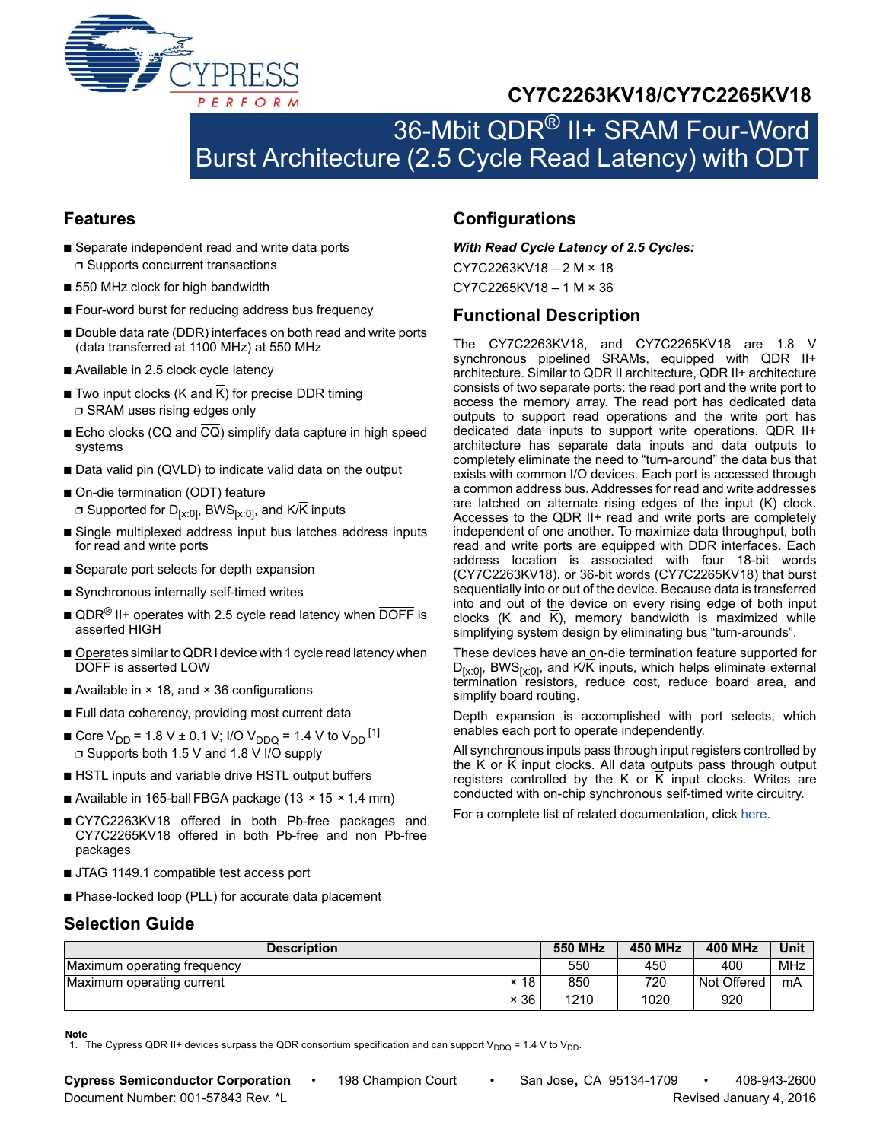

# **CY7C2263KV18/CY7C2265KV18**

# 36-Mbit QDR® II+ SRAM Four-Word Burst Architecture (2.5 Cycle Read Latency) with ODT

### <span id="page-0-1"></span>**Features**

- Separate independent read and write data ports ❐ Supports concurrent transactions
- 550 MHz clock for high bandwidth
- Four-word burst for reducing address bus frequency
- Double data rate (DDR) interfaces on both read and write ports (data transferred at 1100 MHz) at 550 MHz
- Available in 2.5 clock cycle latency
- Two input clocks (K and  $\overline{K}$ ) for precise DDR timing ❐ SRAM uses rising edges only
- Echo clocks (CQ and  $\overline{CQ}$ ) simplify data capture in high speed systems
- Data valid pin (QVLD) to indicate valid data on the output
- On-die termination (ODT) feature  $\Box$  Supported for D<sub>[x:0]</sub>, BWS<sub>[x:0]</sub>, and K/K inputs
- Single multiplexed address input bus latches address inputs for read and write ports
- Separate port selects for depth expansion
- Synchronous internally self-timed writes
- $\blacksquare$  QDR<sup>®</sup> II+ operates with 2.5 cycle read latency when DOFF is asserted HIGH
- Operates similar to QDR I device with 1 cycle read latency when DOFF is asserted LOW
- Available in × 18, and × 36 configurations
- Full data coherency, providing most current data
- Core V<sub>DD</sub> = 1.8 V ± 0.1 V; I/O V<sub>DDQ</sub> = 1.4 V to V<sub>DD</sub> <sup>[[1\]](#page-0-0)</sup> ❐ Supports both 1.5 V and 1.8 V I/O supply
- HSTL inputs and variable drive HSTL output buffers
- Available in 165-ball FBGA package (13  $\times$  15  $\times$  1.4 mm)
- CY7C2263KV18 offered in both Pb-free packages and CY7C2265KV18 offered in both Pb-free and non Pb-free packages
- JTAG 1149.1 compatible test access port
- Phase-locked loop (PLL) for accurate data placement

### <span id="page-0-4"></span>**Selection Guide**

<span id="page-0-2"></span>

|  | <b>Configurations</b> |  |
|--|-----------------------|--|
|  |                       |  |

*With Read Cycle Latency of 2.5 Cycles:*

CY7C2263KV18 – 2 M × 18 CY7C2265KV18 – 1 M × 36

### <span id="page-0-3"></span>**Functional Description**

The CY7C2263KV18, and CY7C2265KV18 are 1.8 V synchronous pipelined SRAMs, equipped with QDR II+ architecture. Similar to QDR II architecture, QDR II+ architecture consists of two separate ports: the read port and the write port to access the memory array. The read port has dedicated data outputs to support read operations and the write port has dedicated data inputs to support write operations. QDR II+ architecture has separate data inputs and data outputs to completely eliminate the need to "turn-around" the data bus that exists with common I/O devices. Each port is accessed through a common address bus. Addresses for read and write addresses are latched on alternate rising edges of the input (K) clock. Accesses to the QDR II+ read and write ports are completely independent of one another. To maximize data throughput, both read and write ports are equipped with DDR interfaces. Each address location is associated with four 18-bit words (CY7C2263KV18), or 36-bit words (CY7C2265KV18) that burst sequentially into or out of the device. Because data is transferred into and out of the device on every rising edge of both input clocks (K and K), memory bandwidth is maximized while simplifying system design by eliminating bus "turn-arounds".

These devices have an on-die termination feature supported for  $D_{[x:0]}$ , BWS $_{[x:0]}$ , and K/K inputs, which helps eliminate external termination resistors, reduce cost, reduce board area, and simplify board routing.

Depth expansion is accomplished with port selects, which enables each port to operate independently.

All synchronous inputs pass through input registers controlled by the K or K input clocks. All data outputs pass through output registers controlled by the K or K input clocks. Writes are conducted with on-chip synchronous self-timed write circuitry.

For a complete list of related documentation, click [here](http://www.cypress.com/?rID=47423).

| <b>Description</b>          |             | <b>550 MHz</b> | <b>450 MHz</b> | <b>400 MHz</b> | Unit |
|-----------------------------|-------------|----------------|----------------|----------------|------|
| Maximum operating frequency |             | 550            | 450            | 400            | MHz  |
| Maximum operating current   | $\times$ 18 | 850            | 720            | Not Offered    | mA   |
|                             | $\times$ 36 | 1210           | 1020           | 920            |      |

**Note**

<span id="page-0-0"></span><sup>1.</sup> The Cypress QDR II+ devices surpass the QDR consortium specification and can support V<sub>DDQ</sub> = 1.4 V to V<sub>DD</sub>.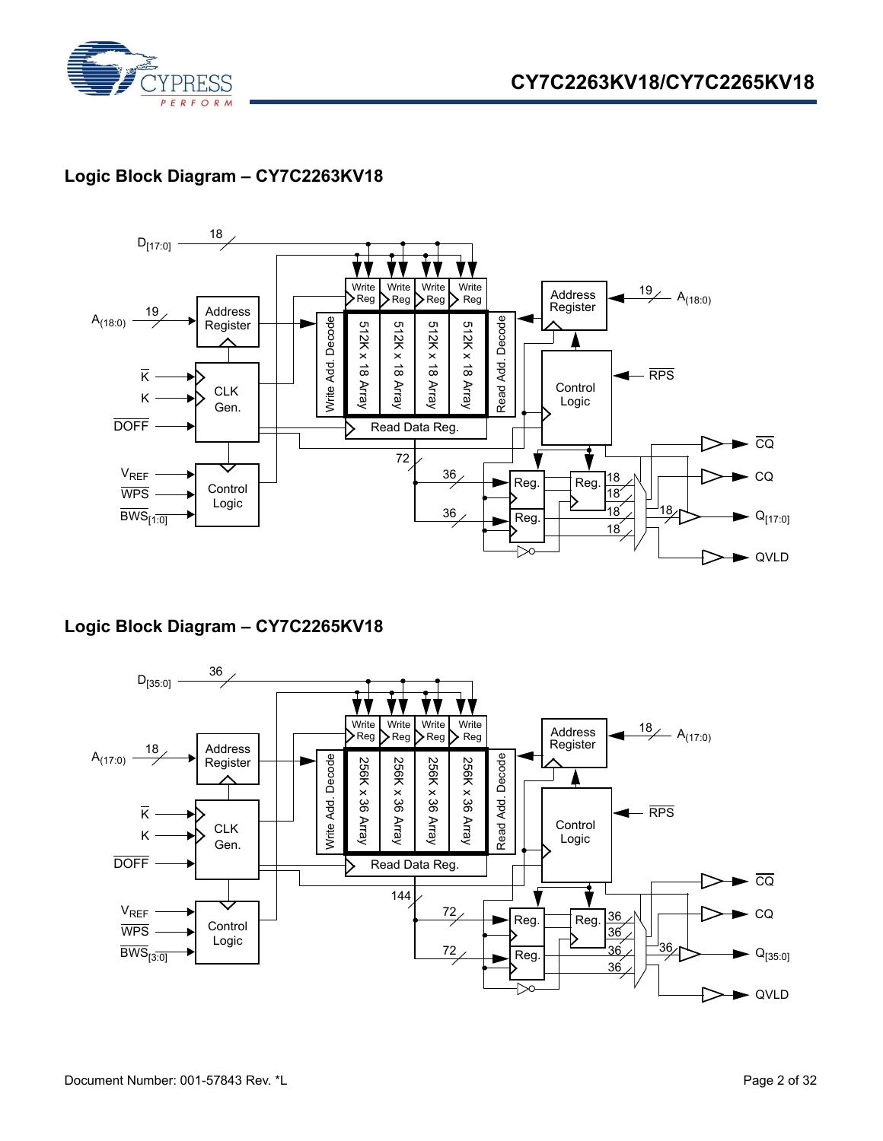



## **Logic Block Diagram – CY7C2263KV18**



### **Logic Block Diagram – CY7C2265KV18**

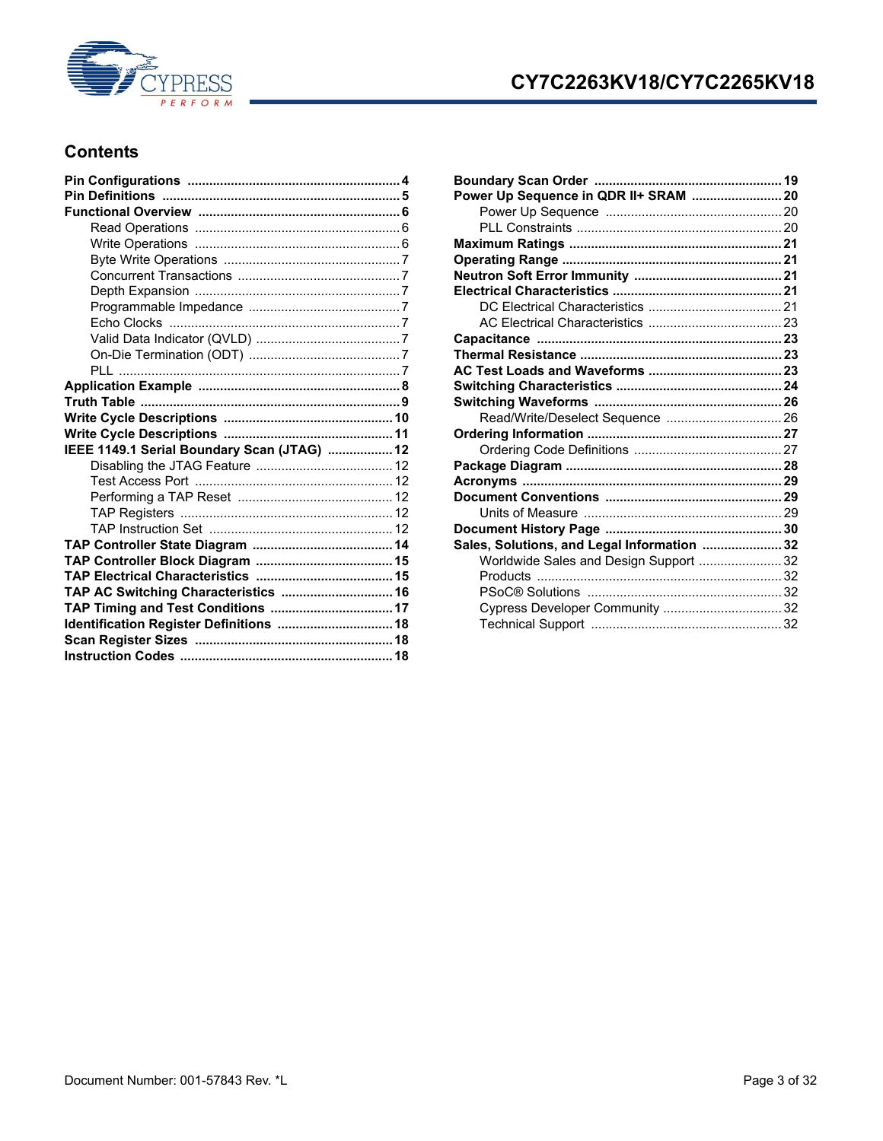

# **CY7C2263KV18/CY7C2265KV18**

### **Contents**

| IEEE 1149.1 Serial Boundary Scan (JTAG)  12 |  |
|---------------------------------------------|--|
|                                             |  |
|                                             |  |
|                                             |  |
|                                             |  |
|                                             |  |
|                                             |  |
|                                             |  |
|                                             |  |
|                                             |  |
|                                             |  |
| TAP AC Switching Characteristics  16        |  |
| TAP Timing and Test Conditions  17          |  |
| Identification Register Definitions  18     |  |
|                                             |  |

| Power Up Sequence in QDR II+ SRAM  20       |  |
|---------------------------------------------|--|
|                                             |  |
|                                             |  |
|                                             |  |
|                                             |  |
|                                             |  |
|                                             |  |
|                                             |  |
|                                             |  |
|                                             |  |
|                                             |  |
|                                             |  |
|                                             |  |
|                                             |  |
| Read/Write/Deselect Sequence  26            |  |
|                                             |  |
|                                             |  |
|                                             |  |
|                                             |  |
|                                             |  |
|                                             |  |
|                                             |  |
| Sales, Solutions, and Legal Information  32 |  |
| Worldwide Sales and Design Support  32      |  |
|                                             |  |
|                                             |  |
| Cypress Developer Community  32             |  |
|                                             |  |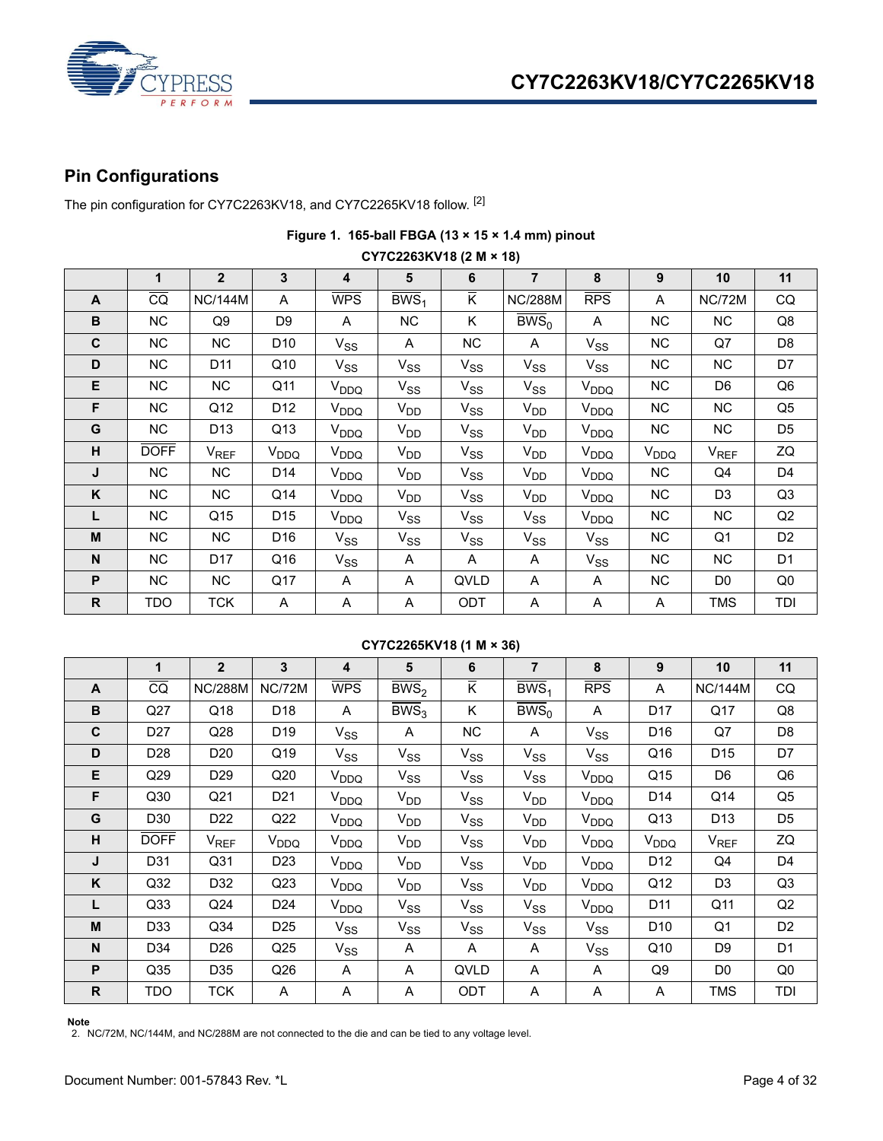

# <span id="page-3-0"></span>**Pin Configurations**

The pin configuration for CY7C2263KV18, and CY7C2265KV18 follow. [\[2](#page-3-1)]

| CY7C2263KV18 (2 M × 18) |             |                 |                  |                         |                    |          |                      |                  |           |                |                |  |  |
|-------------------------|-------------|-----------------|------------------|-------------------------|--------------------|----------|----------------------|------------------|-----------|----------------|----------------|--|--|
|                         | 1           | $\overline{2}$  | $\mathbf{3}$     | $\overline{\mathbf{4}}$ | 5                  | 6        | $\overline{7}$       | 8                | 9         | 10             | 11             |  |  |
| A                       | CQ          | <b>NC/144M</b>  | A                | <b>WPS</b>              | $\overline{BWS}_1$ | K.       | <b>NC/288M</b>       | RPS              | A         | NC/72M         | CQ             |  |  |
| B                       | NC.         | Q9              | D <sub>9</sub>   | A                       | NC                 | Κ        | $\overline{BWS}_{0}$ | A                | NC        | NC.            | Q8             |  |  |
| C                       | NC.         | NC.             | D10              | $V_{SS}$                | A                  | NC.      | A                    | $V_{SS}$         | NC        | Q7             | D8             |  |  |
| D                       | NC.         | D11             | Q10              | $V_{SS}$                | $V_{SS}$           | $V_{SS}$ | $V_{SS}$             | $V_{SS}$         | NC        | NC             | D7             |  |  |
| E                       | NC          | NC.             | Q11              | V <sub>DDQ</sub>        | $V_{SS}$           | $V_{SS}$ | $V_{SS}$             | V <sub>DDQ</sub> | NC        | D6             | Q6             |  |  |
| F                       | NC          | Q12             | D12              | V <sub>DDQ</sub>        | V <sub>DD</sub>    | $V_{SS}$ | V <sub>DD</sub>      | V <sub>DDQ</sub> | NC        | NC.            | Q5             |  |  |
| G                       | NC          | D <sub>13</sub> | Q13              | V <sub>DDQ</sub>        | $V_{DD}$           | $V_{SS}$ | V <sub>DD</sub>      | V <sub>DDQ</sub> | NC        | NC.            | D <sub>5</sub> |  |  |
| н                       | <b>DOFF</b> | $V_{REF}$       | V <sub>DDQ</sub> | V <sub>DDQ</sub>        | $V_{DD}$           | $V_{SS}$ | $V_{DD}$             | V <sub>DDQ</sub> | $V_{DDQ}$ | $V_{REF}$      | ZQ             |  |  |
| J                       | NC.         | NC.             | D14              | V <sub>DDQ</sub>        | $V_{DD}$           | $V_{SS}$ | $V_{DD}$             | V <sub>DDQ</sub> | NC        | Q4             | D4             |  |  |
| K                       | NC.         | NC              | Q14              | V <sub>DDQ</sub>        | $V_{DD}$           | $V_{SS}$ | $V_{DD}$             | V <sub>DDQ</sub> | NC        | D <sub>3</sub> | Q3             |  |  |
| L                       | NC          | Q <sub>15</sub> | D <sub>15</sub>  | V <sub>DDQ</sub>        | $V_{SS}$           | $V_{SS}$ | $V_{SS}$             | V <sub>DDQ</sub> | NC        | NC.            | Q <sub>2</sub> |  |  |
| M                       | NC.         | NC.             | D16              | $V_{SS}$                | $V_{SS}$           | $V_{SS}$ | $V_{SS}$             | $V_{SS}$         | NC        | Q1             | D <sub>2</sub> |  |  |
| N                       | NC.         | D <sub>17</sub> | Q16              | $V_{SS}$                | A                  | A        | A                    | $V_{SS}$         | NC        | NC.            | D <sub>1</sub> |  |  |
| P                       | NC          | <b>NC</b>       | Q17              | A                       | A                  | QVLD     | A                    | A                | NC.       | D <sub>0</sub> | Q <sub>0</sub> |  |  |
| R.                      | TDO         | <b>TCK</b>      | A                | A                       | A                  | ODT      | Α                    | A                | A         | TMS            | TDI            |  |  |

## **Figure 1. 165-ball FBGA (13 × 15 × 1.4 mm) pinout**

### **CY7C2265KV18 (1 M × 36)**

|                | 1               | $\overline{2}$   | 3                | 4                | 5                  | 6              | $\overline{7}$       | 8                | 9                | 10               | 11             |
|----------------|-----------------|------------------|------------------|------------------|--------------------|----------------|----------------------|------------------|------------------|------------------|----------------|
| A              | $\overline{CQ}$ | <b>NC/288M</b>   | <b>NC/72M</b>    | <b>WPS</b>       | $\overline{BWS}_2$ | $\overline{K}$ | $\overline{BWS}_1$   | RPS              | A                | <b>NC/144M</b>   | CQ             |
| B              | Q27             | Q18              | D <sub>18</sub>  | A                | $\overline{BWS}_3$ | Κ              | $\overline{BWS}_{0}$ | A                | D17              | Q17              | Q8             |
| $\mathbf{C}$   | D <sub>27</sub> | Q28              | D <sub>19</sub>  | $V_{SS}$         | A                  | <b>NC</b>      | A                    | $V_{SS}$         | D <sub>16</sub>  | Q7               | D <sub>8</sub> |
| D              | D <sub>28</sub> | D <sub>20</sub>  | Q19              | $V_{SS}$         | $V_{SS}$           | $V_{SS}$       | $V_{SS}$             | $V_{SS}$         | Q16              | D <sub>15</sub>  | D7             |
| Е              | Q29             | D <sub>29</sub>  | Q20              | V <sub>DDQ</sub> | $V_{SS}$           | $V_{SS}$       | $V_{SS}$             | V <sub>DDQ</sub> | Q15              | D6               | Q <sub>6</sub> |
| F              | Q30             | Q <sub>21</sub>  | D <sub>21</sub>  | V <sub>DDQ</sub> | $V_{DD}$           | $V_{SS}$       | V <sub>DD</sub>      | V <sub>DDQ</sub> | D14              | Q14              | Q <sub>5</sub> |
| G              | D30             | D <sub>22</sub>  | Q22              | V <sub>DDQ</sub> | $V_{DD}$           | $V_{SS}$       | V <sub>DD</sub>      | V <sub>DDQ</sub> | Q13              | D <sub>13</sub>  | D <sub>5</sub> |
| H              | <b>DOFF</b>     | V <sub>REF</sub> | V <sub>DDQ</sub> | V <sub>DDQ</sub> | $V_{DD}$           | $V_{SS}$       | $V_{DD}$             | V <sub>DDQ</sub> | V <sub>DDQ</sub> | V <sub>REF</sub> | ZQ             |
| J              | D31             | Q <sub>31</sub>  | D <sub>23</sub>  | V <sub>DDQ</sub> | $V_{DD}$           | $V_{SS}$       | V <sub>DD</sub>      | V <sub>DDQ</sub> | D <sub>12</sub>  | Q4               | D <sub>4</sub> |
| K              | Q <sub>32</sub> | D32              | Q <sub>23</sub>  | V <sub>DDQ</sub> | $V_{DD}$           | $V_{SS}$       | V <sub>DD</sub>      | V <sub>DDQ</sub> | Q12              | D <sub>3</sub>   | Q3             |
| L              | Q <sub>33</sub> | Q24              | D <sub>24</sub>  | V <sub>DDQ</sub> | $V_{SS}$           | $V_{SS}$       | $V_{SS}$             | V <sub>DDQ</sub> | D11              | Q11              | Q2             |
| M              | D33             | Q <sub>34</sub>  | D <sub>25</sub>  | $V_{SS}$         | $V_{SS}$           | $V_{SS}$       | $V_{SS}$             | $V_{SS}$         | D <sub>10</sub>  | Q <sub>1</sub>   | D <sub>2</sub> |
| N <sub>1</sub> | D34             | D <sub>26</sub>  | Q <sub>25</sub>  | $V_{SS}$         | A                  | A              | A                    | $V_{SS}$         | Q10              | D <sub>9</sub>   | D1             |
| P              | Q <sub>35</sub> | D35              | Q26              | A                | A                  | QVLD           | Α                    | A                | Q9               | D <sub>0</sub>   | Q <sub>0</sub> |
| $\mathsf{R}$   | TDO             | <b>TCK</b>       | A                | A                | Α                  | ODT            | A                    | A                | A                | <b>TMS</b>       | TDI            |

<span id="page-3-1"></span>**Note** 2. NC/72M, NC/144M, and NC/288M are not connected to the die and can be tied to any voltage level.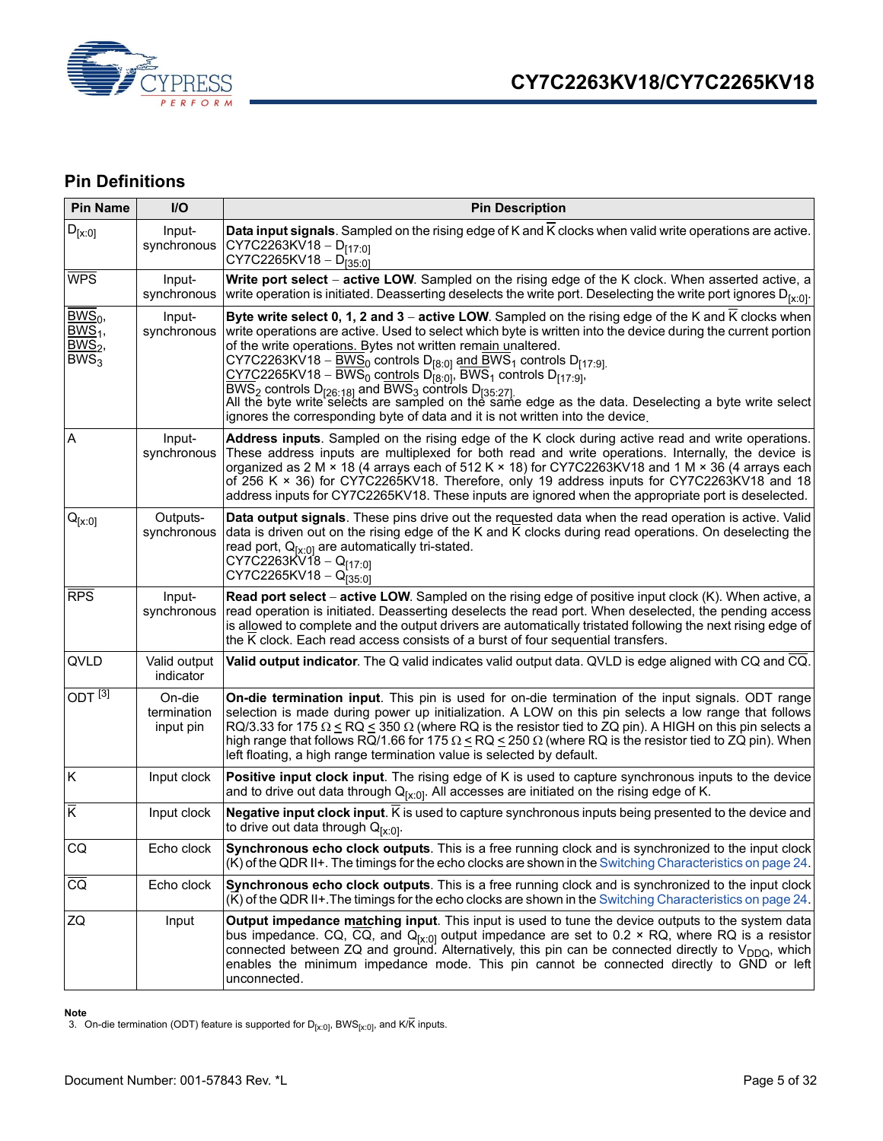

### <span id="page-4-0"></span>**Pin Definitions**

| <b>Pin Name</b>                                       | I/O                                | <b>Pin Description</b>                                                                                                                                                                                                                                                                                                                                                                                                                                                                                                                                                                                                                                                                                                                                                                                                                                 |
|-------------------------------------------------------|------------------------------------|--------------------------------------------------------------------------------------------------------------------------------------------------------------------------------------------------------------------------------------------------------------------------------------------------------------------------------------------------------------------------------------------------------------------------------------------------------------------------------------------------------------------------------------------------------------------------------------------------------------------------------------------------------------------------------------------------------------------------------------------------------------------------------------------------------------------------------------------------------|
| $D_{[x:0]}$                                           | Input-<br>synchronous              | Data input signals. Sampled on the rising edge of K and K clocks when valid write operations are active.<br>CY7C2263KV18 - $D_{[17:0]}$<br>CY7C2265KV18 - $D_{[35:0]}$                                                                                                                                                                                                                                                                                                                                                                                                                                                                                                                                                                                                                                                                                 |
| <b>WPS</b>                                            | Input-<br>synchronous              | Write port select - active LOW. Sampled on the rising edge of the K clock. When asserted active, a<br>write operation is initiated. Deasserting deselects the write port. Deselecting the write port ignores $D_{[x:0]}$ .                                                                                                                                                                                                                                                                                                                                                                                                                                                                                                                                                                                                                             |
| $BWS_0$ ,<br>$BWS1$ ,<br>$BWS2$ ,<br>BWS <sub>3</sub> | Input-<br>synchronous              | Byte write select 0, 1, 2 and 3 - active LOW. Sampled on the rising edge of the K and K clocks when<br>write operations are active. Used to select which byte is written into the device during the current portion<br>of the write operations. Bytes not written remain unaltered.<br>CY7C2263KV18 – $\underline{BWS}_0$ controls D <sub>[8:0]</sub> and BWS <sub>1</sub> controls D <sub>[17:9]</sub><br>$\underline{\text{CY7}}$ C2265KV18 – BWS <sub>0</sub> controls D <sub>[8:0]</sub> , BWS <sub>1</sub> controls D <sub>[17:9]</sub> ,<br>$\frac{BWS_2}{BWS_2}$ controls D <sub>[26:18]</sub> and $\frac{BWS_3}{BWS_3}$ controls D <sub>[35:27]</sub><br>All the byte write selects are sampled on the same edge as the data. Deselecting a byte write select<br>ignores the corresponding byte of data and it is not written into the device. |
| A                                                     | Input-<br>synchronous              | <b>Address inputs</b> . Sampled on the rising edge of the K clock during active read and write operations.<br>These address inputs are multiplexed for both read and write operations. Internally, the device is<br>organized as 2 M × 18 (4 arrays each of 512 K × 18) for CY7C2263KV18 and 1 M × 36 (4 arrays each<br>of 256 K × 36) for CY7C2265KV18. Therefore, only 19 address inputs for CY7C2263KV18 and 18<br>address inputs for CY7C2265KV18. These inputs are ignored when the appropriate port is deselected.                                                                                                                                                                                                                                                                                                                               |
| $Q_{[x:0]}$                                           | Outputs-<br>synchronous            | <b>Data output signals</b> . These pins drive out the requested data when the read operation is active. Valid<br>data is driven out on the rising edge of the K and K clocks during read operations. On deselecting the<br>read port, $Q_{[x:0]}$ are automatically tri-stated.<br>CY7C2263KV18 - Q <sub>[17:0]</sub><br>CY7C2265KV18 - Q <sub>135:01</sub>                                                                                                                                                                                                                                                                                                                                                                                                                                                                                            |
| <b>RPS</b>                                            | Input-<br>synchronous              | Read port select - active LOW. Sampled on the rising edge of positive input clock (K). When active, a<br>read operation is initiated. Deasserting deselects the read port. When deselected, the pending access<br>is allowed to complete and the output drivers are automatically tristated following the next rising edge of<br>the K clock. Each read access consists of a burst of four sequential transfers.                                                                                                                                                                                                                                                                                                                                                                                                                                       |
| QVLD                                                  | Valid output<br>indicator          | Valid output indicator. The Q valid indicates valid output data. QVLD is edge aligned with CQ and CQ.                                                                                                                                                                                                                                                                                                                                                                                                                                                                                                                                                                                                                                                                                                                                                  |
| ODT $^{[3]}$                                          | On-die<br>termination<br>input pin | On-die termination input. This pin is used for on-die termination of the input signals. ODT range<br>selection is made during power up initialization. A LOW on this pin selects a low range that follows<br>RQ/3.33 for 175 $\Omega$ $\leq$ RQ $\leq$ 350 $\Omega$ (where RQ is the resistor tied to ZQ pin). A HIGH on this pin selects a<br>high range that follows RQ/1.66 for 175 $\Omega \leq RQ \leq 250 \Omega$ (where RQ is the resistor tied to ZQ pin). When<br>left floating, a high range termination value is selected by default.                                                                                                                                                                                                                                                                                                       |
| $\sf K$                                               | Input clock                        | Positive input clock input. The rising edge of K is used to capture synchronous inputs to the device<br>and to drive out data through $Q_{[x:0]}$ . All accesses are initiated on the rising edge of K.                                                                                                                                                                                                                                                                                                                                                                                                                                                                                                                                                                                                                                                |
| $\overline{K}$                                        | Input clock                        | Negative input clock input. K is used to capture synchronous inputs being presented to the device and<br>to drive out data through $Q_{[x:0]}$ .                                                                                                                                                                                                                                                                                                                                                                                                                                                                                                                                                                                                                                                                                                       |
| CQ                                                    | Echo clock                         | Synchronous echo clock outputs. This is a free running clock and is synchronized to the input clock<br>(K) of the QDR II+. The timings for the echo clocks are shown in the Switching Characteristics on page 24.                                                                                                                                                                                                                                                                                                                                                                                                                                                                                                                                                                                                                                      |
| $\overline{CQ}$                                       | Echo clock                         | Synchronous echo clock outputs. This is a free running clock and is synchronized to the input clock<br>(K) of the QDR II+. The timings for the echo clocks are shown in the Switching Characteristics on page 24.                                                                                                                                                                                                                                                                                                                                                                                                                                                                                                                                                                                                                                      |
| ZQ                                                    | Input                              | Output impedance matching input. This input is used to tune the device outputs to the system data<br>bus impedance. CQ, CQ, and Q <sub>[x:0]</sub> output impedance are set to 0.2 $\times$ RQ, where RQ is a resistor<br>connected between ZQ and ground. Alternatively, this pin can be connected directly to $V_{DDO}$ , which<br>enables the minimum impedance mode. This pin cannot be connected directly to GND or left<br>unconnected.                                                                                                                                                                                                                                                                                                                                                                                                          |

<span id="page-4-1"></span>**Note**<br>3. On-die termination (ODT) feature is supported for D<sub>[x:0]</sub>, BWS<sub>[x:0]</sub>, and K/K̄ inputs.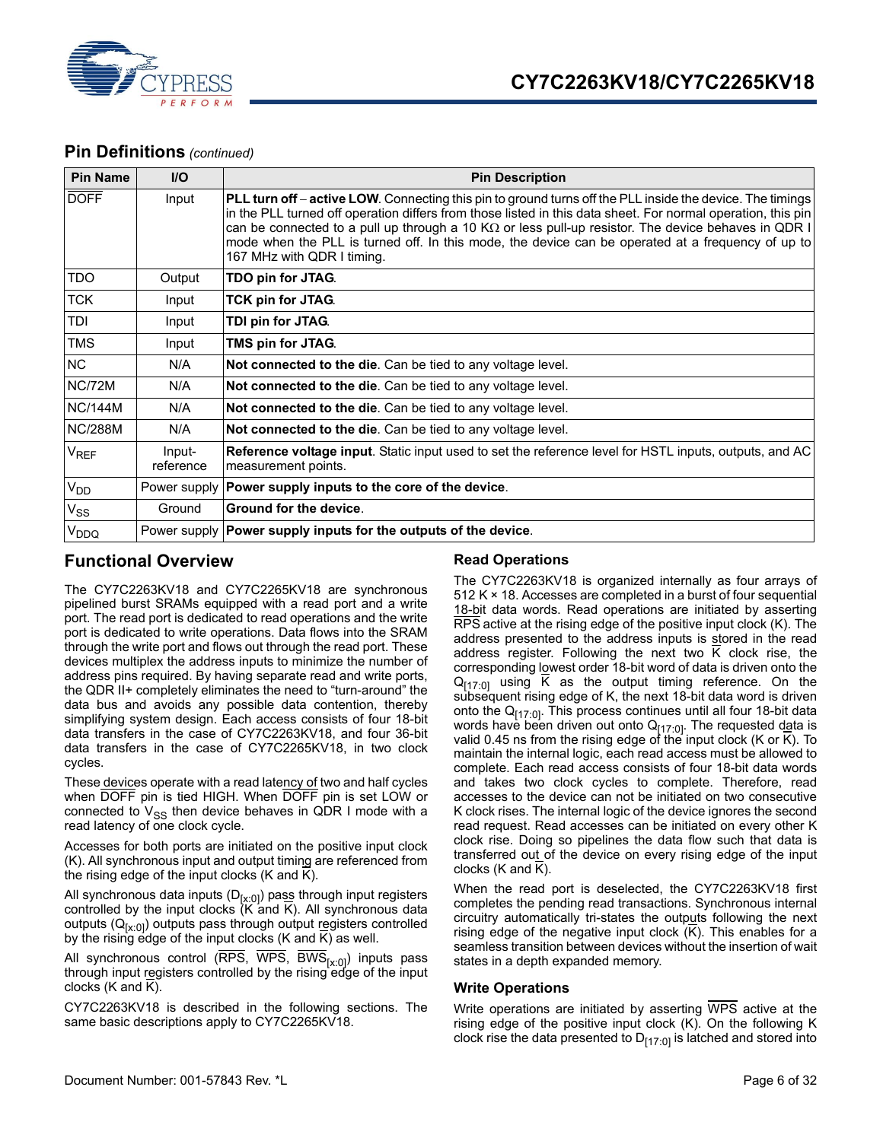

### **Pin Definitions** *(continued)*

| <b>Pin Name</b>             | $UO$                | <b>Pin Description</b>                                                                                                                                                                                                                                                                                                                                                                                                                                                      |
|-----------------------------|---------------------|-----------------------------------------------------------------------------------------------------------------------------------------------------------------------------------------------------------------------------------------------------------------------------------------------------------------------------------------------------------------------------------------------------------------------------------------------------------------------------|
| <b>DOFF</b>                 | Input               | PLL turn off - active LOW. Connecting this pin to ground turns off the PLL inside the device. The timings<br>in the PLL turned off operation differs from those listed in this data sheet. For normal operation, this pin<br>can be connected to a pull up through a 10 K $\Omega$ or less pull-up resistor. The device behaves in QDR I<br>mode when the PLL is turned off. In this mode, the device can be operated at a frequency of up to<br>167 MHz with QDR I timing. |
| <b>TDO</b>                  | Output              | TDO pin for JTAG.                                                                                                                                                                                                                                                                                                                                                                                                                                                           |
| <b>TCK</b>                  | Input               | TCK pin for JTAG.                                                                                                                                                                                                                                                                                                                                                                                                                                                           |
| TDI                         | Input               | TDI pin for JTAG.                                                                                                                                                                                                                                                                                                                                                                                                                                                           |
| <b>TMS</b>                  | Input               | TMS pin for JTAG.                                                                                                                                                                                                                                                                                                                                                                                                                                                           |
| <b>NC</b>                   | N/A                 | Not connected to the die. Can be tied to any voltage level.                                                                                                                                                                                                                                                                                                                                                                                                                 |
| NC/72M                      | N/A                 | Not connected to the die. Can be tied to any voltage level.                                                                                                                                                                                                                                                                                                                                                                                                                 |
| <b>NC/144M</b>              | N/A                 | Not connected to the die. Can be tied to any voltage level.                                                                                                                                                                                                                                                                                                                                                                                                                 |
| <b>NC/288M</b>              | N/A                 | Not connected to the die. Can be tied to any voltage level.                                                                                                                                                                                                                                                                                                                                                                                                                 |
| $\mathsf{V}_{\mathsf{REF}}$ | Input-<br>reference | <b>Reference voltage input.</b> Static input used to set the reference level for HSTL inputs, outputs, and AC<br>measurement points.                                                                                                                                                                                                                                                                                                                                        |
| V <sub>DD</sub>             |                     | Power supply   Power supply inputs to the core of the device.                                                                                                                                                                                                                                                                                                                                                                                                               |
| $V_{SS}$                    | Ground              | Ground for the device.                                                                                                                                                                                                                                                                                                                                                                                                                                                      |
| V <sub>DDQ</sub>            |                     | Power supply <b>Power supply inputs for the outputs of the device</b> .                                                                                                                                                                                                                                                                                                                                                                                                     |

### <span id="page-5-0"></span>**Functional Overview**

#### <span id="page-5-1"></span>**Read Operations**

The CY7C2263KV18 and CY7C2265KV18 are synchronous pipelined burst SRAMs equipped with a read port and a write port. The read port is dedicated to read operations and the write port is dedicated to write operations. Data flows into the SRAM through the write port and flows out through the read port. These devices multiplex the address inputs to minimize the number of address pins required. By having separate read and write ports, the QDR II+ completely eliminates the need to "turn-around" the data bus and avoids any possible data contention, thereby simplifying system design. Each access consists of four 18-bit data transfers in the case of CY7C2263KV18, and four 36-bit data transfers in the case of CY7C2265KV18, in two clock cycles.

These devices operate with a read latency of two and half cycles when DOFF pin is tied HIGH. When DOFF pin is set LOW or connected to  $V_{SS}$  then device behaves in QDR I mode with a read latency of one clock cycle.

Accesses for both ports are initiated on the positive input clock (K). All synchronous input and output timing are referenced from the rising edge of the input clocks (K and K).

All synchronous data inputs (D<sub>[x:0]</sub>) pass through input registers controlled by the input clocks (K and K). All synchronous data outputs (Q<sub>[x:0]</sub>) outputs pass through output registers controlled by the rising edge of the input clocks (K and K) as well.

All synchronous control ( $\overline{\text{RPS}}, \overline{\text{WPS}}, \overline{\text{BWS}}_{[x:0]}$ ) inputs pass through input registers controlled by the rising edge of the input clocks (K and K).

CY7C2263KV18 is described in the following sections. The same basic descriptions apply to CY7C2265KV18.

The CY7C2263KV18 is organized internally as four arrays of 512 K × 18. Accesses are completed in a burst of four sequential 18-bit data words. Read operations are initiated by asserting RPS active at the rising edge of the positive input clock (K). The address presented to the address inputs is stored in the read address register. Following the next two K clock rise, the corresponding lowest order 18-bit word of data is driven onto the  $Q_{[17:0]}$  using  $\overline{K}$  as the output timing reference. On the subsequent rising edge of K, the next 18-bit data word is driven onto the  $Q_{[17:0]}$ . This process continues until all four 18-bit data words have been driven out onto Q<sub>[17:0]</sub>. The requested data is valid 0.45 ns from the rising edge of the input clock (K or K). To maintain the internal logic, each read access must be allowed to complete. Each read access consists of four 18-bit data words and takes two clock cycles to complete. Therefore, read accesses to the device can not be initiated on two consecutive K clock rises. The internal logic of the device ignores the second read request. Read accesses can be initiated on every other K clock rise. Doing so pipelines the data flow such that data is transferred out of the device on every rising edge of the input clocks (K and K).

When the read port is deselected, the CY7C2263KV18 first completes the pending read transactions. Synchronous internal circuitry automatically tri-states the outputs following the next rising edge of the negative input clock  $(K)$ . This enables for a seamless transition between devices without the insertion of wait states in a depth expanded memory.

### <span id="page-5-2"></span>**Write Operations**

Write operations are initiated by asserting WPS active at the rising edge of the positive input clock (K). On the following K clock rise the data presented to  $D_{[17:0]}$  is latched and stored into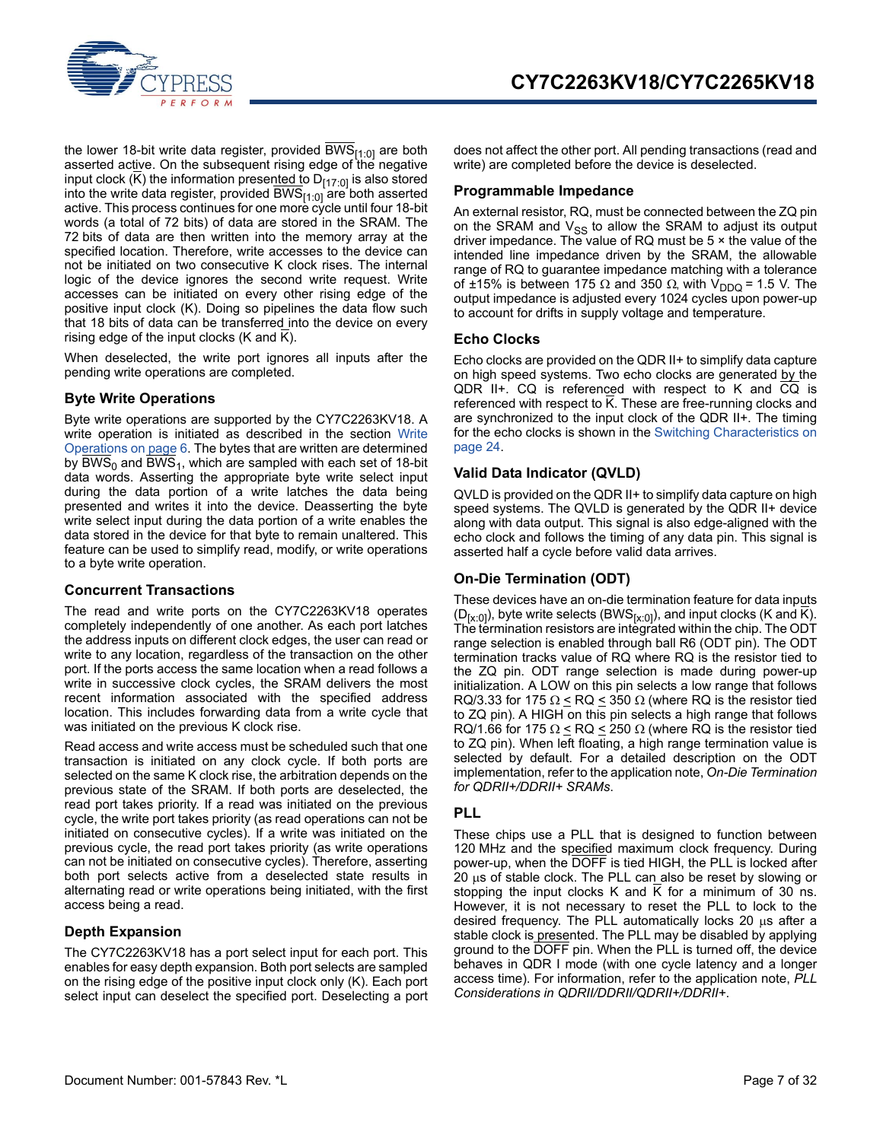

the lower 18-bit write data register, provided BWS $_{[1:0]}$  are both asserted active. On the subsequent rising edge of the negative input clock ( $\overline{K}$ ) the information presented to D<sub>[17:0]</sub> is also stored into the write data register, provided BWS<sub>[1:0]</sub> are both asserted active. This process continues for one more cycle until four 18-bit words (a total of 72 bits) of data are stored in the SRAM. The 72 bits of data are then written into the memory array at the specified location. Therefore, write accesses to the device can not be initiated on two consecutive K clock rises. The internal logic of the device ignores the second write request. Write accesses can be initiated on every other rising edge of the positive input clock (K). Doing so pipelines the data flow such that 18 bits of data can be transferred into the device on every rising edge of the input clocks (K and K).

When deselected, the write port ignores all inputs after the pending write operations are completed.

#### <span id="page-6-0"></span>**Byte Write Operations**

Byte write operations are supported by the CY7C2263KV18. A write operation is initiated as described in the section [Write](#page-5-2) [Operations on page 6.](#page-5-2) The bytes that are written are determined by BWS<sub>0</sub> and BWS<sub>1</sub>, which are sampled with each set of 18-bit data words. Asserting the appropriate byte write select input during the data portion of a write latches the data being presented and writes it into the device. Deasserting the byte write select input during the data portion of a write enables the data stored in the device for that byte to remain unaltered. This feature can be used to simplify read, modify, or write operations to a byte write operation.

#### <span id="page-6-1"></span>**Concurrent Transactions**

The read and write ports on the CY7C2263KV18 operates completely independently of one another. As each port latches the address inputs on different clock edges, the user can read or write to any location, regardless of the transaction on the other port. If the ports access the same location when a read follows a write in successive clock cycles, the SRAM delivers the most recent information associated with the specified address location. This includes forwarding data from a write cycle that was initiated on the previous K clock rise.

Read access and write access must be scheduled such that one transaction is initiated on any clock cycle. If both ports are selected on the same K clock rise, the arbitration depends on the previous state of the SRAM. If both ports are deselected, the read port takes priority. If a read was initiated on the previous cycle, the write port takes priority (as read operations can not be initiated on consecutive cycles). If a write was initiated on the previous cycle, the read port takes priority (as write operations can not be initiated on consecutive cycles). Therefore, asserting both port selects active from a deselected state results in alternating read or write operations being initiated, with the first access being a read.

#### <span id="page-6-2"></span>**Depth Expansion**

The CY7C2263KV18 has a port select input for each port. This enables for easy depth expansion. Both port selects are sampled on the rising edge of the positive input clock only (K). Each port select input can deselect the specified port. Deselecting a port does not affect the other port. All pending transactions (read and write) are completed before the device is deselected.

#### <span id="page-6-3"></span>**Programmable Impedance**

An external resistor, RQ, must be connected between the ZQ pin on the SRAM and  $V_{SS}$  to allow the SRAM to adjust its output driver impedance. The value of RQ must be 5 × the value of the intended line impedance driven by the SRAM, the allowable range of RQ to guarantee impedance matching with a tolerance of ±15% is between 175  $\Omega$  and 350  $\Omega$ , with V<sub>DDQ</sub> = 1.5 V. The output impedance is adjusted every 1024 cycles upon power-up to account for drifts in supply voltage and temperature.

#### <span id="page-6-4"></span>**Echo Clocks**

Echo clocks are provided on the QDR II+ to simplify data capture on high speed systems. Two echo clocks are generated by the QDR II+. CQ is referenced with respect to K and CQ is referenced with respect to K. These are free-running clocks and are synchronized to the input clock of the QDR II+. The timing for the echo clocks is shown in the [Switching Characteristics on](#page-23-0) [page 24](#page-23-0).

#### <span id="page-6-5"></span>**Valid Data Indicator (QVLD)**

QVLD is provided on the QDR II+ to simplify data capture on high speed systems. The QVLD is generated by the QDR II+ device along with data output. This signal is also edge-aligned with the echo clock and follows the timing of any data pin. This signal is asserted half a cycle before valid data arrives.

#### <span id="page-6-6"></span>**On-Die Termination (ODT)**

These devices have an on-die termination feature for data inputs  $(D_{[x:0]}),$  byte write selects (BWS $_{[x:0]}$ ), and input clocks (K and K). The termination resistors are integrated within the chip. The ODT range selection is enabled through ball R6 (ODT pin). The ODT termination tracks value of RQ where RQ is the resistor tied to the ZQ pin. ODT range selection is made during power-up initialization. A LOW on this pin selects a low range that follows RQ/3.33 for 175  $\Omega \leq RQ \leq 350 \Omega$  (where RQ is the resistor tied to ZQ pin). A HIGH on this pin selects a high range that follows RQ/1.66 for 175  $\Omega \leq RQ \leq 250 \Omega$  (where RQ is the resistor tied to ZQ pin). When left floating, a high range termination value is selected by default. For a detailed description on the ODT implementation, refer to the application note, *On-Die Termination for QDRII+/DDRII+ SRAMs*.

#### <span id="page-6-7"></span>**PLL**

These chips use a PLL that is designed to function between 120 MHz and the specified maximum clock frequency. During power-up, when the DOFF is tied HIGH, the PLL is locked after  $20 \mu s$  of stable clock. The PLL can also be reset by slowing or stopping the input clocks K and K for a minimum of 30 ns. However, it is not necessary to reset the PLL to lock to the desired frequency. The PLL automatically locks 20  $\mu$ s after a stable clock is presented. The PLL may be disabled by applying ground to the DOFF pin. When the PLL is turned off, the device behaves in QDR I mode (with one cycle latency and a longer access time). For information, refer to the application note, *PLL Considerations in QDRII/DDRII/QDRII+/DDRII+*.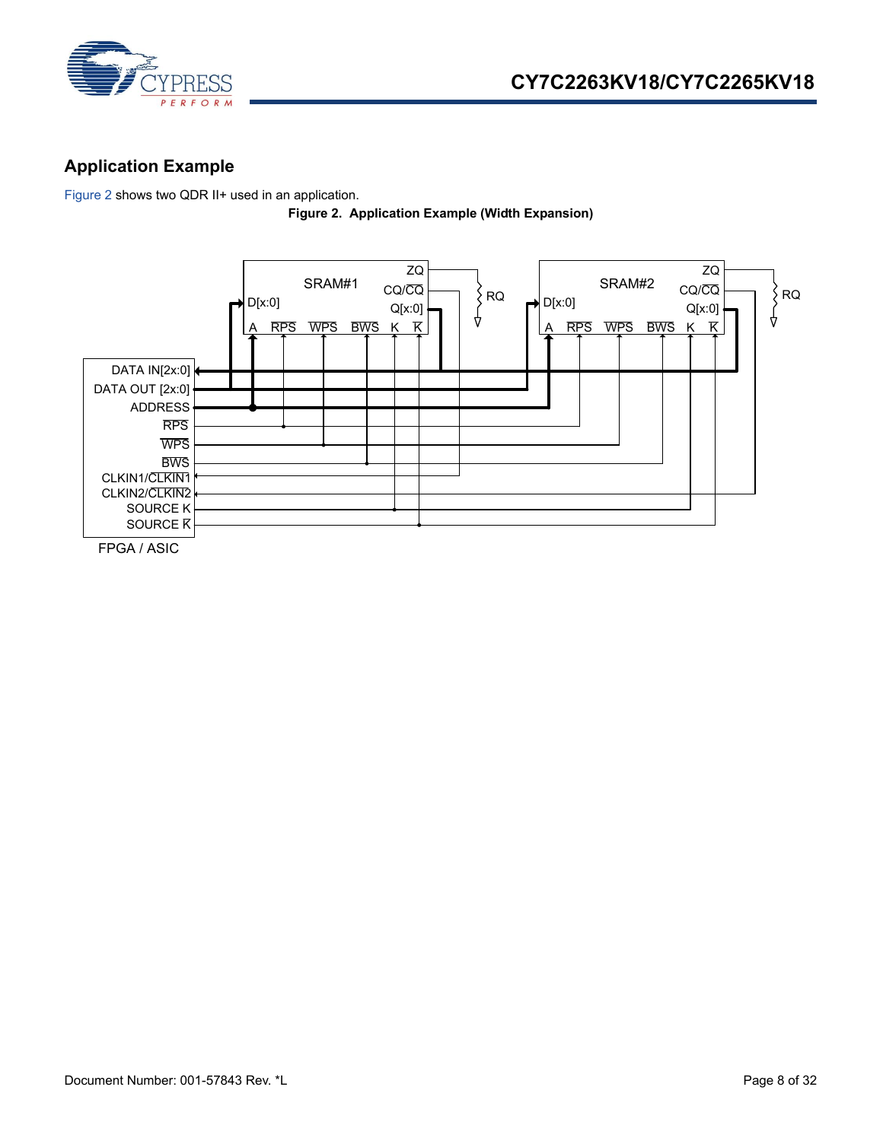

## <span id="page-7-0"></span>**Application Example**

<span id="page-7-1"></span>[Figure 2](#page-7-1) shows two QDR II+ used in an application.

**Figure 2. Application Example (Width Expansion)**

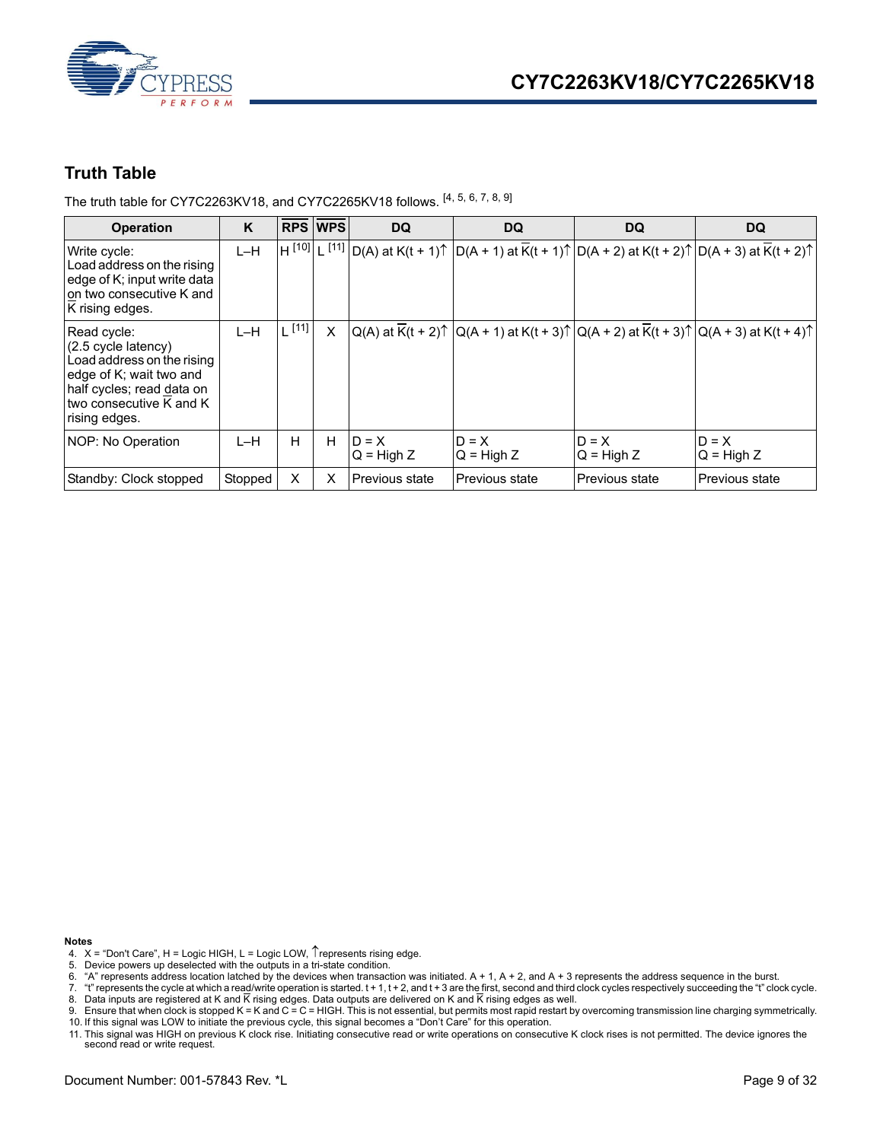

### <span id="page-8-0"></span>**Truth Table**

The truth table for CY7C2263KV18, and CY7C2265KV18 follows. [\[4](#page-8-1), [5](#page-8-2), [6](#page-8-3), [7](#page-8-4), [8](#page-8-5), [9](#page-8-6)]

| <b>Operation</b>                                                                                                                                                                | K       |            | <b>RPS WPS</b> | <b>DQ</b>               | DQ                      | <b>DQ</b>               | <b>DQ</b>                                                                                                                                             |
|---------------------------------------------------------------------------------------------------------------------------------------------------------------------------------|---------|------------|----------------|-------------------------|-------------------------|-------------------------|-------------------------------------------------------------------------------------------------------------------------------------------------------|
| Write cycle:<br>Load address on the rising<br>edge of K; input write data<br>Ion two consecutive K and<br>K rising edges.                                                       | $L-H$   |            |                |                         |                         |                         | H <sup>[10]</sup> L <sup>[11]</sup> D(A) at K(t + 1)↑ D(A + 1) at $\overline{K}$ (t + 1)↑ D(A + 2) at K(t + 2)↑ D(A + 3) at K(t + 2)↑                 |
| Read cycle:<br>$(2.5 \text{ cycle latency})$<br>Load address on the rising<br>edge of K; wait two and<br>half cycles; read data on<br>Itwo consecutive K and K<br>rising edges. | $L-H$   | $L^{[11]}$ | X              |                         |                         |                         | $ Q(A)$ at $\overline{K}(t + 2)\uparrow  Q(A + 1)$ at $K(t + 3)\uparrow  Q(A + 2)$ at $\overline{K}(t + 3)\uparrow  Q(A + 3)$ at $K(t + 4)\uparrow  $ |
| NOP: No Operation                                                                                                                                                               | L-H     | н          | H              | $D = X$<br>$Q = High Z$ | $D = X$<br>$Q = High Z$ | $D = X$<br>$Q = High Z$ | $D = X$<br>$Q = High Z$                                                                                                                               |
| Standby: Clock stopped                                                                                                                                                          | Stopped | X          | X              | Previous state          | <b>Previous state</b>   | Previous state          | Previous state                                                                                                                                        |

- <span id="page-8-1"></span>4.  $X =$  "Don't Care", H = Logic HIGH, L = Logic LOW,  $\uparrow$  represents rising edge.
- <span id="page-8-2"></span>5. Device powers up deselected with the outputs in a tri-state condition.
- <span id="page-8-3"></span>6. "A" represents address location latched by the devices when transaction was initiated. A + 1, A + 2, and A + 3 represents the address sequence in the burst.
- <span id="page-8-5"></span><span id="page-8-4"></span>7. "t" represents the cycle at which a read/write operation is started. t + 1, t + 2, and t + 3 are the first, second and third clock cycles respectively succeeding the "t" clock cycle.<br>8. Data inputs are registered at K
- <span id="page-8-7"></span><span id="page-8-6"></span>9. Ensure that when clock is stopped K = K and C = C = HIGH. This is not essential, but permits most rapid restart by overcoming transmission line charging symmetrically. 10. If this signal was LOW to initiate the previous cycle, this signal becomes a "Don't Care" for this operation.
- <span id="page-8-8"></span>11. This signal was HIGH on previous K clock rise. Initiating consecutive read or write operations on consecutive K clock rises is not permitted. The device ignores the second read or write request.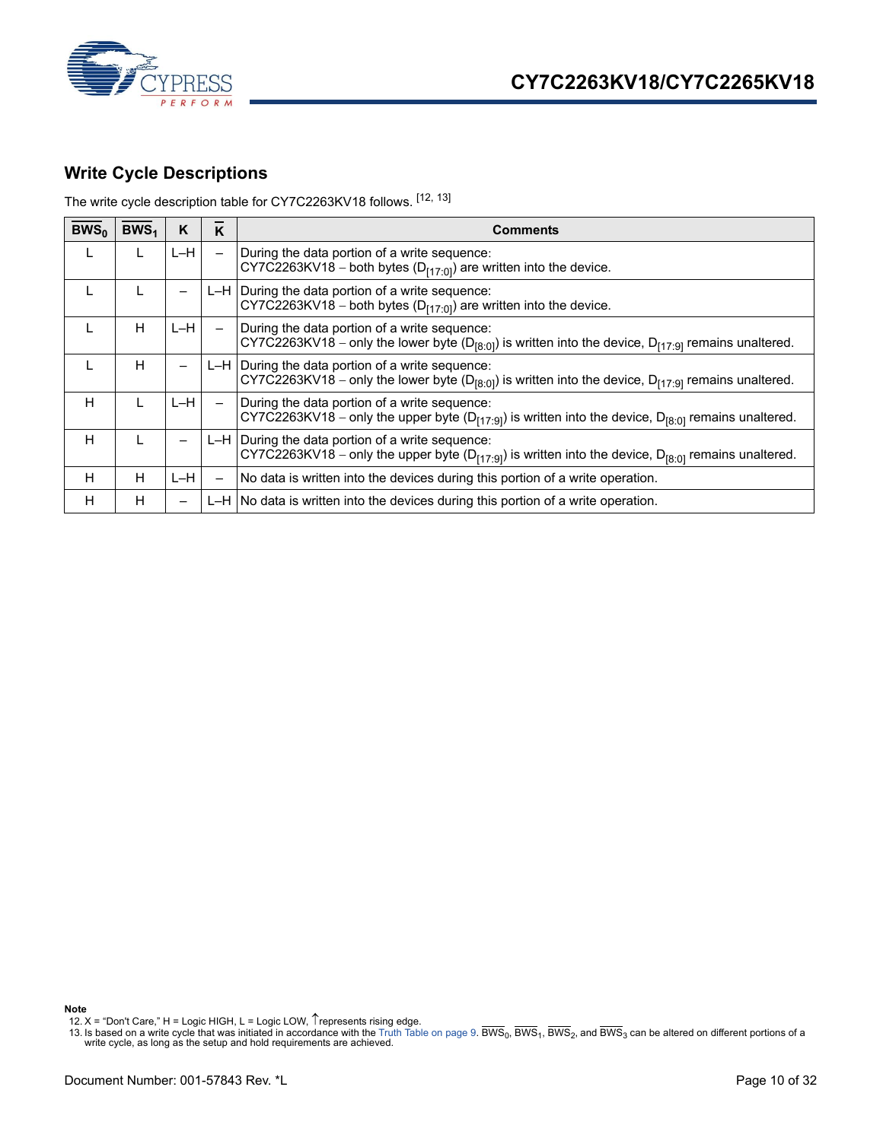

### <span id="page-9-0"></span>**Write Cycle Descriptions**

The write cycle description table for CY7C2263KV18 follows. [[12,](#page-9-1) [13\]](#page-9-2)

| BWS <sub>0</sub> | BWS <sub>1</sub> | κ     | K                        | Comments                                                                                                                                                                          |
|------------------|------------------|-------|--------------------------|-----------------------------------------------------------------------------------------------------------------------------------------------------------------------------------|
|                  |                  | L-H   | $\qquad \qquad$          | During the data portion of a write sequence:<br>$CY7C2263KV18 - both bytes (D[17:0]) are written into the device.$                                                                |
|                  |                  | -     |                          | $L-H$ During the data portion of a write sequence:<br>CY7C2263KV18 - both bytes ( $D_{[17:0]}$ ) are written into the device.                                                     |
|                  | н                | $L-H$ |                          | During the data portion of a write sequence:<br>CY7C2263KV18 – only the lower byte (D <sub>[8:0]</sub> ) is written into the device, D <sub>[17:9]</sub> remains unaltered.       |
|                  | н                | -     |                          | $L-H$ During the data portion of a write sequence:<br>CY7C2263KV18 – only the lower byte (D <sub>[8:0]</sub> ) is written into the device, D <sub>[17:9]</sub> remains unaltered. |
| H                |                  | L-H   | $\overline{\phantom{m}}$ | During the data portion of a write sequence:<br>CY7C2263KV18 – only the upper byte ( $D_{[17:9]}$ ) is written into the device, $D_{[8:0]}$ remains unaltered.                    |
| н                |                  |       |                          | $L-H$ During the data portion of a write sequence:<br>CY7C2263KV18 – only the upper byte ( $D_{[17:9]}$ ) is written into the device, $D_{[8:0]}$ remains unaltered.              |
| H                | н                | L-H   | —                        | No data is written into the devices during this portion of a write operation.                                                                                                     |
| H                | н                | —     |                          | L-H  No data is written into the devices during this portion of a write operation.                                                                                                |

<span id="page-9-1"></span>**Note**<br>\_12. X = "Don't Care," H = Logic HIGH, L = Logic LOW, ↑represents rising edge.

<span id="page-9-2"></span>13. Is based on a write cycle that was initiated in accordance with the [Truth Table on page 9](#page-8-0). BWS<sub>0</sub>, BWS<sub>1</sub>, BWS<sub>2</sub>, and BWS<sub>3</sub> can be altered on different portions of a write cycle, as long as the setup and hold require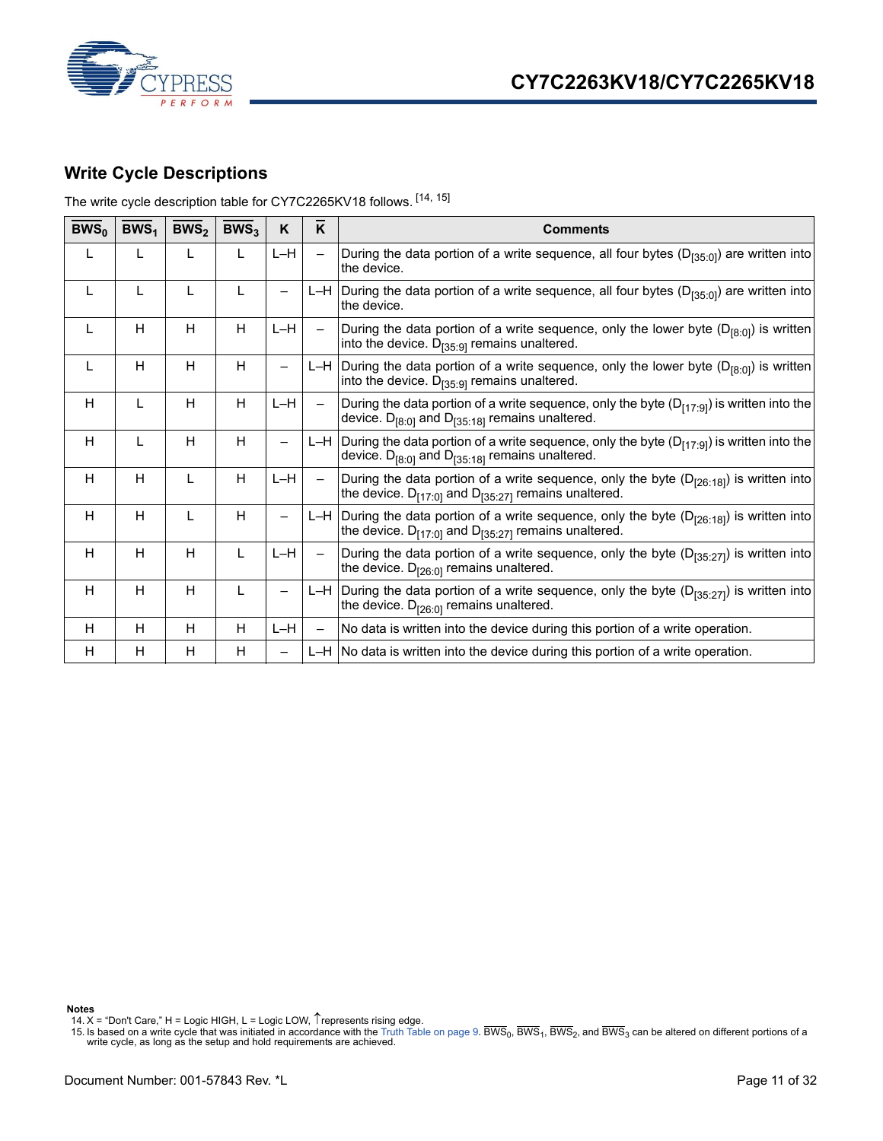



### <span id="page-10-0"></span>**Write Cycle Descriptions**

The write cycle description table for CY7C2265KV18 follows. [\[14](#page-10-1), [15](#page-10-2)]

| $BWS_0$ | BWS <sub>1</sub> | BWS <sub>2</sub> | BWS <sub>3</sub> | K                        | K                        | <b>Comments</b>                                                                                                                                                       |
|---------|------------------|------------------|------------------|--------------------------|--------------------------|-----------------------------------------------------------------------------------------------------------------------------------------------------------------------|
| L       |                  | L                | L                | L-H                      |                          | During the data portion of a write sequence, all four bytes (D <sub>[35:0]</sub> ) are written into<br>the device.                                                    |
| L       | T                | L                | L                | —                        |                          | L-H During the data portion of a write sequence, all four bytes ( $D_{(35:0)}$ ) are written into<br>the device.                                                      |
| L       | H                | H                | H                | $L-H$                    | $\qquad \qquad -$        | During the data portion of a write sequence, only the lower byte ( $D_{[8:0]}$ ) is written<br>into the device. $D_{[35:9]}$ remains unaltered.                       |
| L       | H                | H                | H                | $\overline{\phantom{0}}$ |                          | L-H During the data portion of a write sequence, only the lower byte ( $D_{[8:0]}$ ) is written<br>into the device. $D_{[35:9]}$ remains unaltered.                   |
| H       | L                | H                | H                | L-H                      | $\overline{\phantom{0}}$ | During the data portion of a write sequence, only the byte $(D_{[17:9]} )$ is written into the<br>device. $D_{[8:0]}$ and $D_{[35:18]}$ remains unaltered.            |
| H       | L                | H                | H                | —                        |                          | L-H During the data portion of a write sequence, only the byte (D <sub>[17:9]</sub> ) is written into the<br>device. $D_{[8:0]}$ and $D_{[35:18]}$ remains unaltered. |
| H       | н                | L                | H                | L-H                      | $\qquad \qquad -$        | During the data portion of a write sequence, only the byte ( $D_{[26:18]}$ ) is written into<br>the device. $D_{[17:0]}$ and $D_{[35:27]}$ remains unaltered.         |
| H       | H                | L                | H                | —                        |                          | L-H During the data portion of a write sequence, only the byte $(D_{[26:18]})$ is written into<br>the device. $D_{[17:0]}$ and $D_{[35:27]}$ remains unaltered.       |
| H       | H                | H                | L                | $L-H$                    | $\qquad \qquad -$        | During the data portion of a write sequence, only the byte ( $D_{[35:27]}$ ) is written into<br>the device. $D_{[26:0]}$ remains unaltered.                           |
| H       | H                | H                | L                | $\overline{\phantom{0}}$ |                          | L-H During the data portion of a write sequence, only the byte (D <sub>[35:27]</sub> ) is written into<br>the device. $D_{[26:0]}$ remains unaltered.                 |
| H       | H                | H                | H                | $L-H$                    | $\overline{\phantom{0}}$ | No data is written into the device during this portion of a write operation.                                                                                          |
| H.      | H                | н                | H                | —                        |                          | $L-H$ No data is written into the device during this portion of a write operation.                                                                                    |

<span id="page-10-1"></span>**Notes**<br>14. X = "Don't Care," H = Logic HIGH, L = Logic LOW, ↑represents rising edge.

<span id="page-10-2"></span>15. Is based on a write cycle that was initiated in accordance with the [Truth Table on page 9.](#page-8-0) BWS<sub>0</sub>, BWS<sub>1</sub>, BWS<sub>2</sub>, and BWS<sub>3</sub> can be altered on different portions of a write cycle, as long as the setup and hold require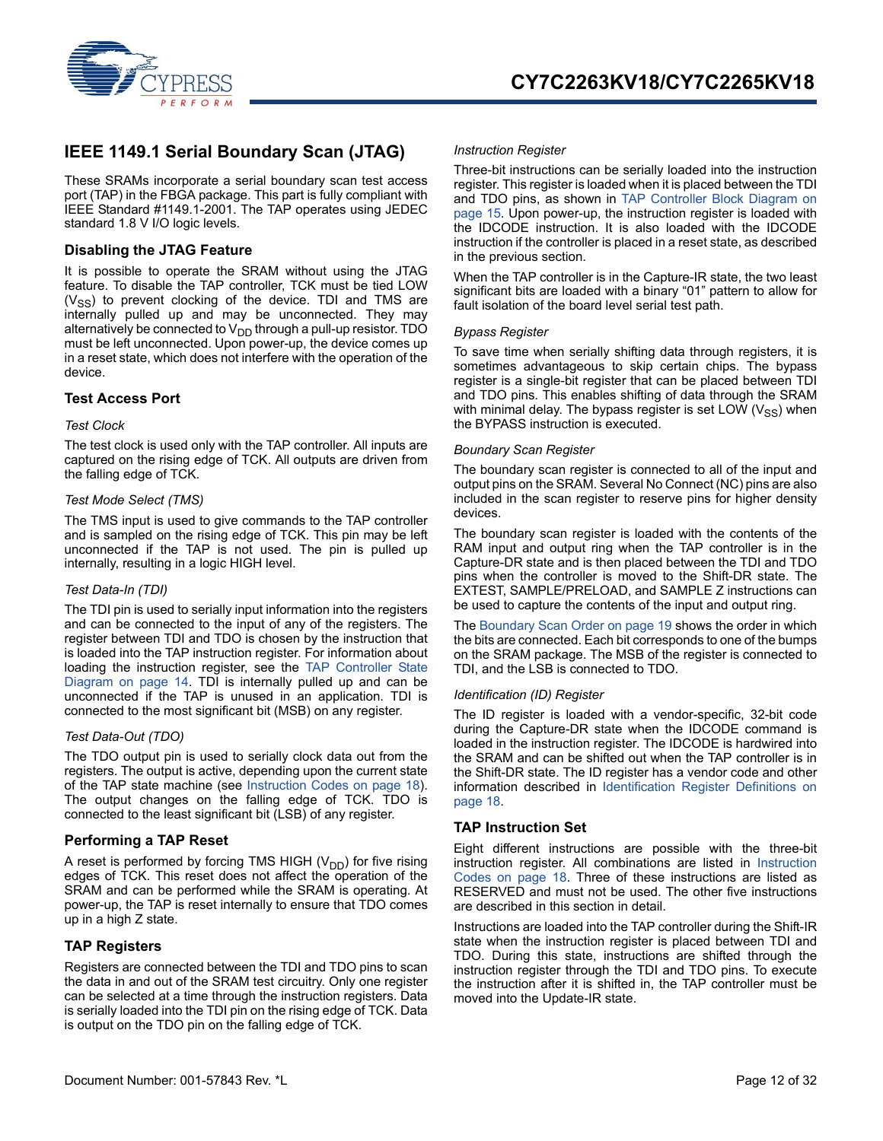

### <span id="page-11-0"></span>**IEEE 1149.1 Serial Boundary Scan (JTAG)**

These SRAMs incorporate a serial boundary scan test access port (TAP) in the FBGA package. This part is fully compliant with IEEE Standard #1149.1-2001. The TAP operates using JEDEC standard 1.8 V I/O logic levels.

#### <span id="page-11-1"></span>**Disabling the JTAG Feature**

It is possible to operate the SRAM without using the JTAG feature. To disable the TAP controller, TCK must be tied LOW  $(V_{SS})$  to prevent clocking of the device. TDI and TMS are internally pulled up and may be unconnected. They may alternatively be connected to  $V_{DD}$  through a pull-up resistor. TDO must be left unconnected. Upon power-up, the device comes up in a reset state, which does not interfere with the operation of the device.

#### <span id="page-11-2"></span>**Test Access Port**

#### *Test Clock*

The test clock is used only with the TAP controller. All inputs are captured on the rising edge of TCK. All outputs are driven from the falling edge of TCK.

#### *Test Mode Select (TMS)*

The TMS input is used to give commands to the TAP controller and is sampled on the rising edge of TCK. This pin may be left unconnected if the TAP is not used. The pin is pulled up internally, resulting in a logic HIGH level.

#### *Test Data-In (TDI)*

The TDI pin is used to serially input information into the registers and can be connected to the input of any of the registers. The register between TDI and TDO is chosen by the instruction that is loaded into the TAP instruction register. For information about loading the instruction register, see the [TAP Controller State](#page-13-0) [Diagram on page 14.](#page-13-0) TDI is internally pulled up and can be unconnected if the TAP is unused in an application. TDI is connected to the most significant bit (MSB) on any register.

#### *Test Data-Out (TDO)*

The TDO output pin is used to serially clock data out from the registers. The output is active, depending upon the current state of the TAP state machine (see [Instruction Codes on page 18](#page-17-2)). The output changes on the falling edge of TCK. TDO is connected to the least significant bit (LSB) of any register.

#### <span id="page-11-3"></span>**Performing a TAP Reset**

A reset is performed by forcing TMS HIGH  $(V_{DD})$  for five rising edges of TCK. This reset does not affect the operation of the SRAM and can be performed while the SRAM is operating. At power-up, the TAP is reset internally to ensure that TDO comes up in a high Z state.

#### <span id="page-11-4"></span>**TAP Registers**

Registers are connected between the TDI and TDO pins to scan the data in and out of the SRAM test circuitry. Only one register can be selected at a time through the instruction registers. Data is serially loaded into the TDI pin on the rising edge of TCK. Data is output on the TDO pin on the falling edge of TCK.

#### *Instruction Register*

Three-bit instructions can be serially loaded into the instruction register. This register is loaded when it is placed between the TDI and TDO pins, as shown in [TAP Controller Block Diagram on](#page-14-0) [page 15](#page-14-0). Upon power-up, the instruction register is loaded with the IDCODE instruction. It is also loaded with the IDCODE instruction if the controller is placed in a reset state, as described in the previous section.

When the TAP controller is in the Capture-IR state, the two least significant bits are loaded with a binary "01" pattern to allow for fault isolation of the board level serial test path.

#### *Bypass Register*

To save time when serially shifting data through registers, it is sometimes advantageous to skip certain chips. The bypass register is a single-bit register that can be placed between TDI and TDO pins. This enables shifting of data through the SRAM with minimal delay. The bypass register is set LOW  $(V_{SS})$  when the BYPASS instruction is executed.

#### *Boundary Scan Register*

The boundary scan register is connected to all of the input and output pins on the SRAM. Several No Connect (NC) pins are also included in the scan register to reserve pins for higher density devices.

The boundary scan register is loaded with the contents of the RAM input and output ring when the TAP controller is in the Capture-DR state and is then placed between the TDI and TDO pins when the controller is moved to the Shift-DR state. The EXTEST, SAMPLE/PRELOAD, and SAMPLE Z instructions can be used to capture the contents of the input and output ring.

The [Boundary Scan Order on page 19](#page-18-0) shows the order in which the bits are connected. Each bit corresponds to one of the bumps on the SRAM package. The MSB of the register is connected to TDI, and the LSB is connected to TDO.

#### *Identification (ID) Register*

The ID register is loaded with a vendor-specific, 32-bit code during the Capture-DR state when the IDCODE command is loaded in the instruction register. The IDCODE is hardwired into the SRAM and can be shifted out when the TAP controller is in the Shift-DR state. The ID register has a vendor code and other information described in [Identification Register Definitions on](#page-17-0) [page 18](#page-17-0).

#### <span id="page-11-5"></span>**TAP Instruction Set**

Eight different instructions are possible with the three-bit instruction register. All combinations are listed in [Instruction](#page-17-2) [Codes on page 18](#page-17-2). Three of these instructions are listed as RESERVED and must not be used. The other five instructions are described in this section in detail.

Instructions are loaded into the TAP controller during the Shift-IR state when the instruction register is placed between TDI and TDO. During this state, instructions are shifted through the instruction register through the TDI and TDO pins. To execute the instruction after it is shifted in, the TAP controller must be moved into the Update-IR state.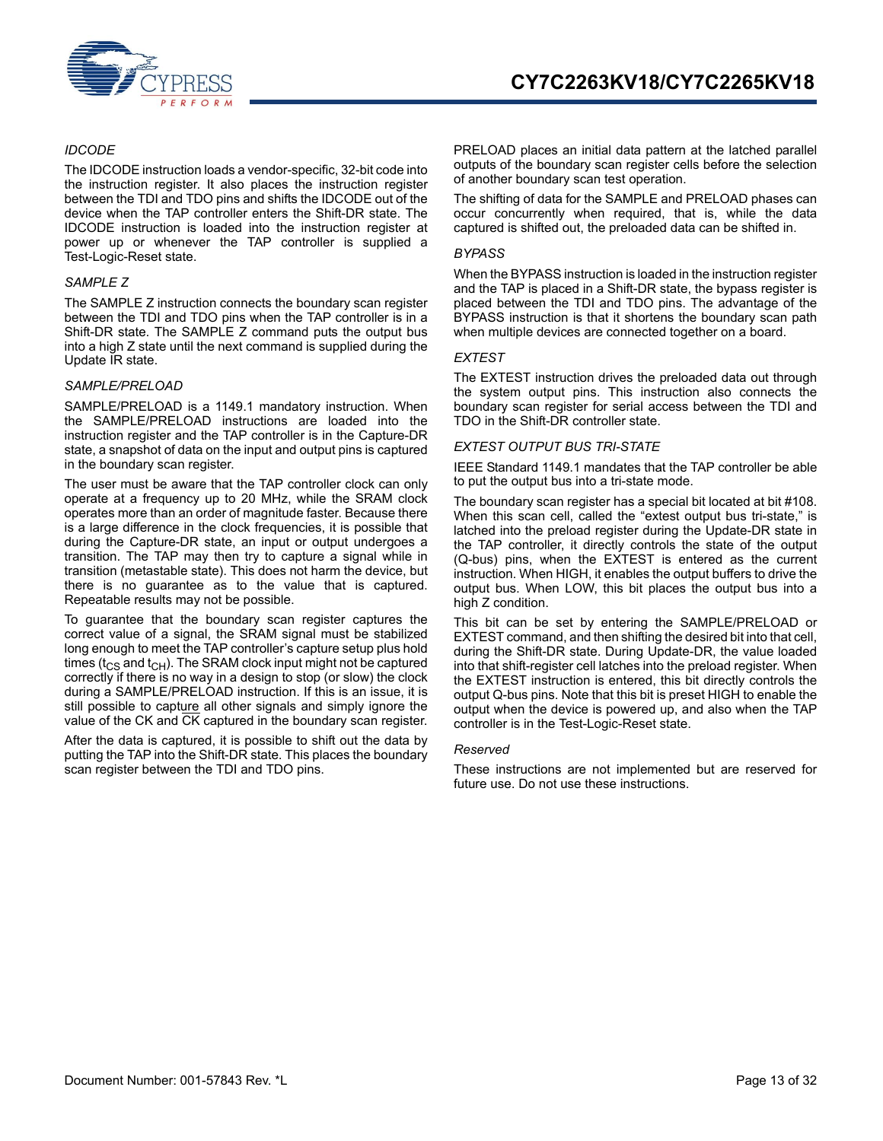

#### *IDCODE*

The IDCODE instruction loads a vendor-specific, 32-bit code into the instruction register. It also places the instruction register between the TDI and TDO pins and shifts the IDCODE out of the device when the TAP controller enters the Shift-DR state. The IDCODE instruction is loaded into the instruction register at power up or whenever the TAP controller is supplied a Test-Logic-Reset state.

#### *SAMPLE Z*

The SAMPLE Z instruction connects the boundary scan register between the TDI and TDO pins when the TAP controller is in a Shift-DR state. The SAMPLE Z command puts the output bus into a high Z state until the next command is supplied during the Update IR state.

#### *SAMPLE/PRELOAD*

SAMPLE/PRELOAD is a 1149.1 mandatory instruction. When the SAMPLE/PRELOAD instructions are loaded into the instruction register and the TAP controller is in the Capture-DR state, a snapshot of data on the input and output pins is captured in the boundary scan register.

The user must be aware that the TAP controller clock can only operate at a frequency up to 20 MHz, while the SRAM clock operates more than an order of magnitude faster. Because there is a large difference in the clock frequencies, it is possible that during the Capture-DR state, an input or output undergoes a transition. The TAP may then try to capture a signal while in transition (metastable state). This does not harm the device, but there is no guarantee as to the value that is captured. Repeatable results may not be possible.

To guarantee that the boundary scan register captures the correct value of a signal, the SRAM signal must be stabilized long enough to meet the TAP controller's capture setup plus hold times ( $t_{CS}$  and  $t_{CH}$ ). The SRAM clock input might not be captured correctly if there is no way in a design to stop (or slow) the clock during a SAMPLE/PRELOAD instruction. If this is an issue, it is still possible to capture all other signals and simply ignore the value of the CK and CK captured in the boundary scan register.

After the data is captured, it is possible to shift out the data by putting the TAP into the Shift-DR state. This places the boundary scan register between the TDI and TDO pins.

PRELOAD places an initial data pattern at the latched parallel outputs of the boundary scan register cells before the selection of another boundary scan test operation.

The shifting of data for the SAMPLE and PRELOAD phases can occur concurrently when required, that is, while the data captured is shifted out, the preloaded data can be shifted in.

#### *BYPASS*

When the BYPASS instruction is loaded in the instruction register and the TAP is placed in a Shift-DR state, the bypass register is placed between the TDI and TDO pins. The advantage of the BYPASS instruction is that it shortens the boundary scan path when multiple devices are connected together on a board.

#### *EXTEST*

The EXTEST instruction drives the preloaded data out through the system output pins. This instruction also connects the boundary scan register for serial access between the TDI and TDO in the Shift-DR controller state.

#### *EXTEST OUTPUT BUS TRI-STATE*

IEEE Standard 1149.1 mandates that the TAP controller be able to put the output bus into a tri-state mode.

The boundary scan register has a special bit located at bit #108. When this scan cell, called the "extest output bus tri-state," is latched into the preload register during the Update-DR state in the TAP controller, it directly controls the state of the output (Q-bus) pins, when the EXTEST is entered as the current instruction. When HIGH, it enables the output buffers to drive the output bus. When LOW, this bit places the output bus into a high Z condition.

This bit can be set by entering the SAMPLE/PRELOAD or EXTEST command, and then shifting the desired bit into that cell, during the Shift-DR state. During Update-DR, the value loaded into that shift-register cell latches into the preload register. When the EXTEST instruction is entered, this bit directly controls the output Q-bus pins. Note that this bit is preset HIGH to enable the output when the device is powered up, and also when the TAP controller is in the Test-Logic-Reset state.

#### *Reserved*

These instructions are not implemented but are reserved for future use. Do not use these instructions.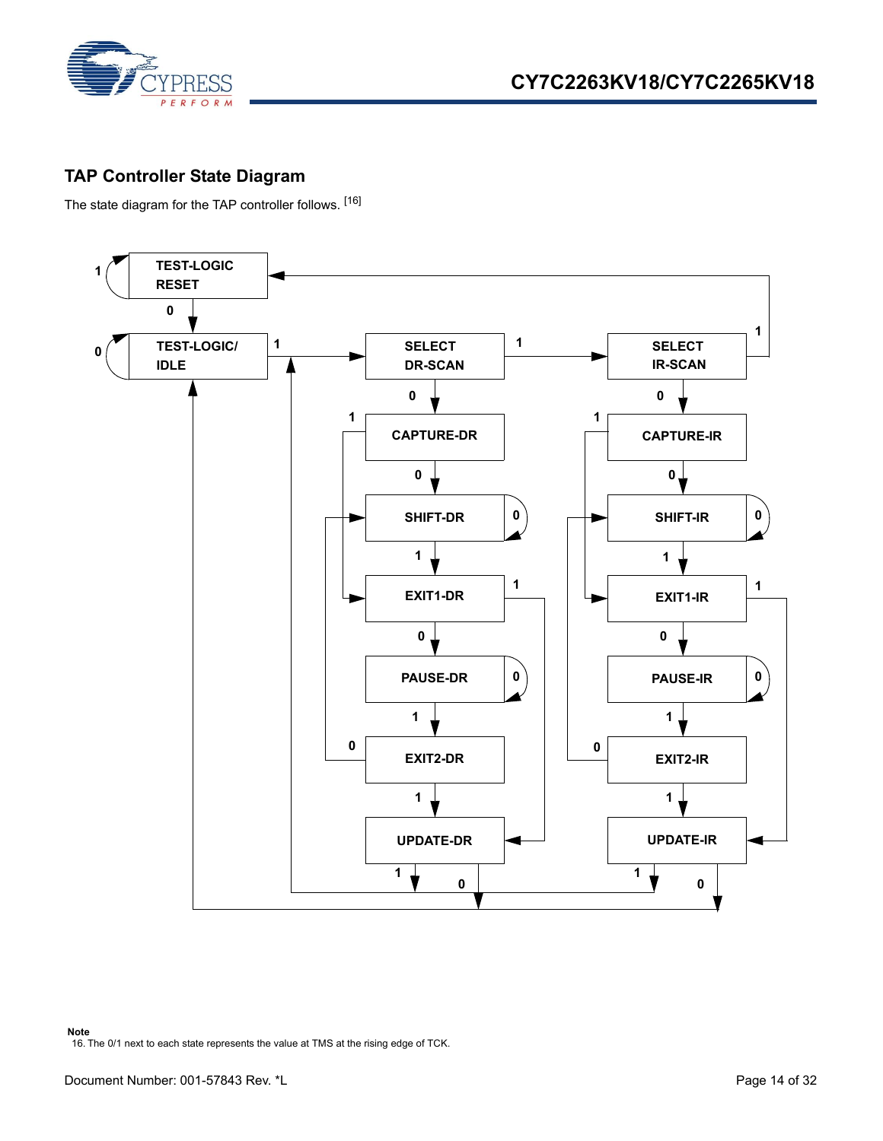

## <span id="page-13-0"></span>**TAP Controller State Diagram**

The state diagram for the TAP controller follows. [[16\]](#page-13-1)

<span id="page-13-1"></span>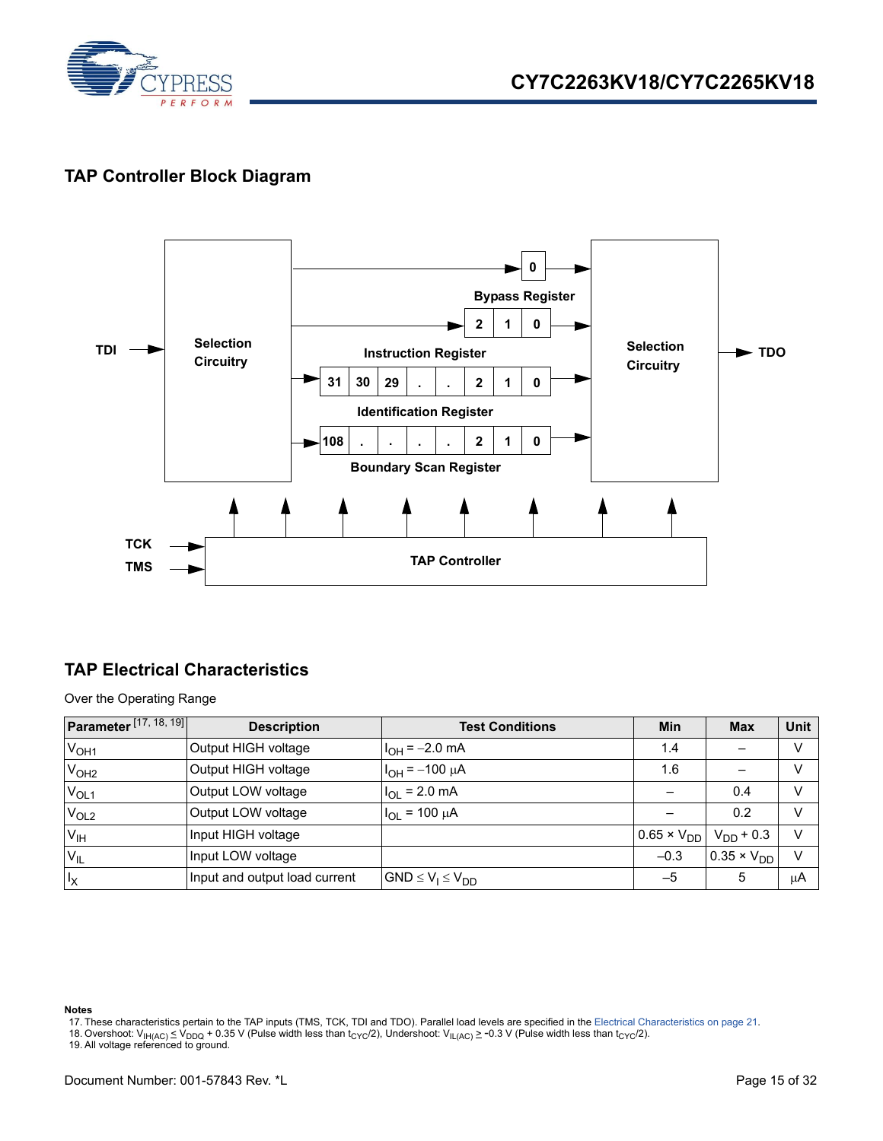

### <span id="page-14-0"></span>**TAP Controller Block Diagram**



### <span id="page-14-1"></span>**TAP Electrical Characteristics**

Over the Operating Range

| Parameter <sup>[17, 18, 19]</sup> | <b>Description</b>            | <b>Test Conditions</b>   | Min                  | <b>Max</b>            | <b>Unit</b> |
|-----------------------------------|-------------------------------|--------------------------|----------------------|-----------------------|-------------|
| V <sub>OH1</sub>                  | Output HIGH voltage           | $I_{OH} = -2.0$ mA       | 1.4                  |                       | v           |
| V <sub>OH2</sub>                  | Output HIGH voltage           | $I_{OH} = -100 \mu A$    | 1.6                  |                       | V           |
| $V_{OL1}$                         | Output LOW voltage            | $I_{OL}$ = 2.0 mA        |                      | 0.4                   | v           |
| V <sub>OL2</sub>                  | Output LOW voltage            | $I_{OL}$ = 100 $\mu$ A   |                      | 0.2                   | $\vee$      |
| V <sub>IH</sub>                   | Input HIGH voltage            |                          | $0.65 \times V_{DD}$ | $V_{DD}$ + 0.3        | $\vee$      |
| $V_{IL}$                          | Input LOW voltage             |                          | $-0.3$               | $10.35 \times V_{DD}$ | $\vee$      |
| $I_X$                             | Input and output load current | $GND \le V_1 \le V_{DD}$ | $-5$                 | 5                     | μA          |

- <span id="page-14-2"></span>17. These characteristics pertain to the TAP inputs (TMS, TCK, TDI and TDO). Parallel load levels are specified in the [Electrical Characteristics on page 21.](#page-20-3)
- <span id="page-14-3"></span>18. Overshoot: V<sub>IH(AC)</sub> ≤ V<sub>DDQ</sub> + 0.35 V (Pulse width less than t<sub>CYC</sub>/2), Undershoot: V<sub>IL(AC)</sub> ≥ -0.3 V (Pulse width less than t<sub>CYC</sub>/2).<br>19. All voltage referenced to ground.

<span id="page-14-4"></span>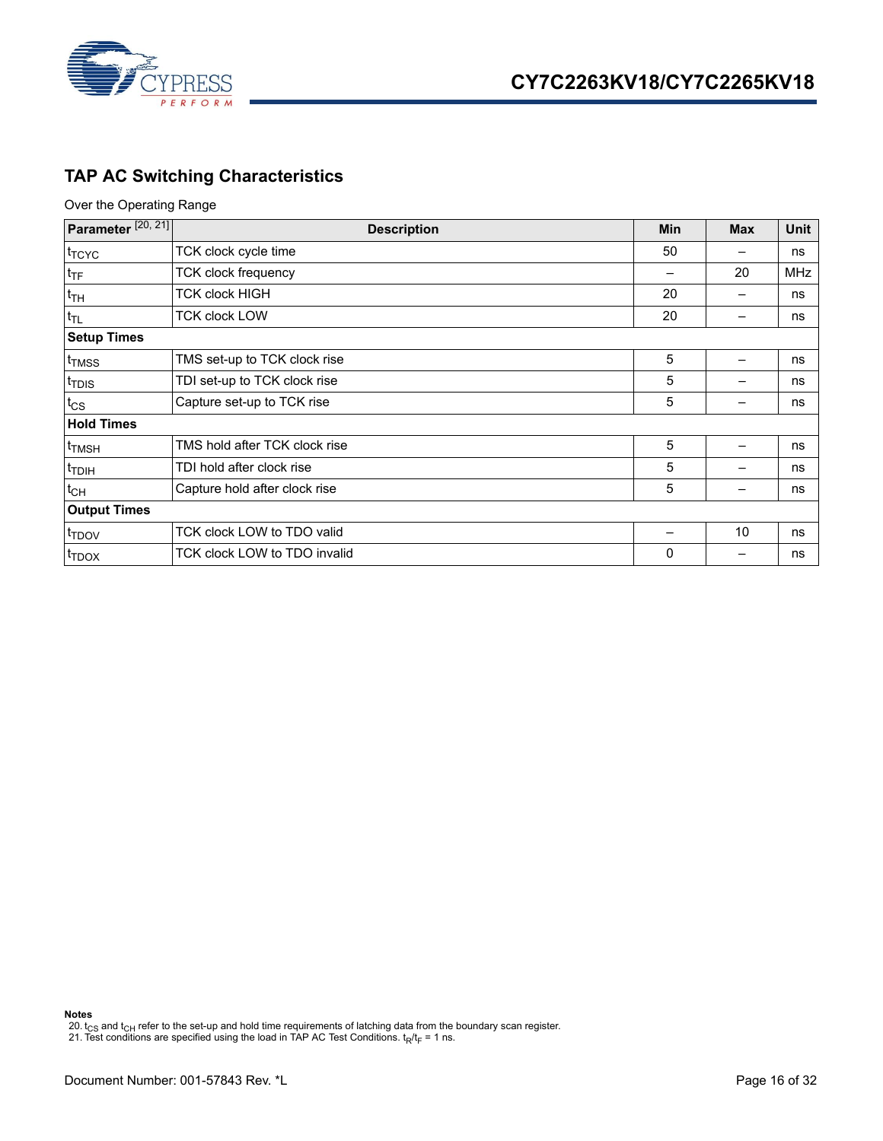

## <span id="page-15-0"></span>**TAP AC Switching Characteristics**

Over the Operating Range

| Parameter <sup>[20, 21]</sup> | <b>Description</b>            | Min | <b>Max</b> | Unit       |
|-------------------------------|-------------------------------|-----|------------|------------|
| t <sub>TCYC</sub>             | TCK clock cycle time          | 50  |            | ns         |
| $t_{\text{TF}}$               | <b>TCK clock frequency</b>    |     | 20         | <b>MHz</b> |
| $t_{TH}$                      | <b>TCK clock HIGH</b>         | 20  |            | ns         |
| $t_{TL}$                      | <b>TCK clock LOW</b>          | 20  |            | ns         |
| <b>Setup Times</b>            |                               |     |            |            |
| t <sub>TMSS</sub>             | TMS set-up to TCK clock rise  | 5   |            | ns         |
| t <sub>TDIS</sub>             | TDI set-up to TCK clock rise  | 5   |            | ns         |
| $t_{\text{CS}}$               | Capture set-up to TCK rise    | 5   |            | ns         |
| <b>Hold Times</b>             |                               |     |            |            |
| t <sub>TMSH</sub>             | TMS hold after TCK clock rise | 5   |            | ns         |
| <sup>t</sup> TDIH             | TDI hold after clock rise     | 5   |            | ns         |
| $t_{CH}$                      | Capture hold after clock rise | 5   |            | ns         |
| <b>Output Times</b>           |                               |     |            |            |
| t <sub>TDOV</sub>             | TCK clock LOW to TDO valid    |     | 10         | ns         |
| <sup>t</sup> TDOX             | TCK clock LOW to TDO invalid  | 0   |            | ns         |

**Notes**

<span id="page-15-1"></span>20.  $t_{\rm CS}$  and  $t_{\rm CH}$  refer to the set-up and hold time requirements of latching data from the boundary scan register.

<span id="page-15-2"></span>21. Test conditions are specified using the load in TAP AC Test Conditions. t<sub>R</sub>/t<sub>F</sub> = 1 ns.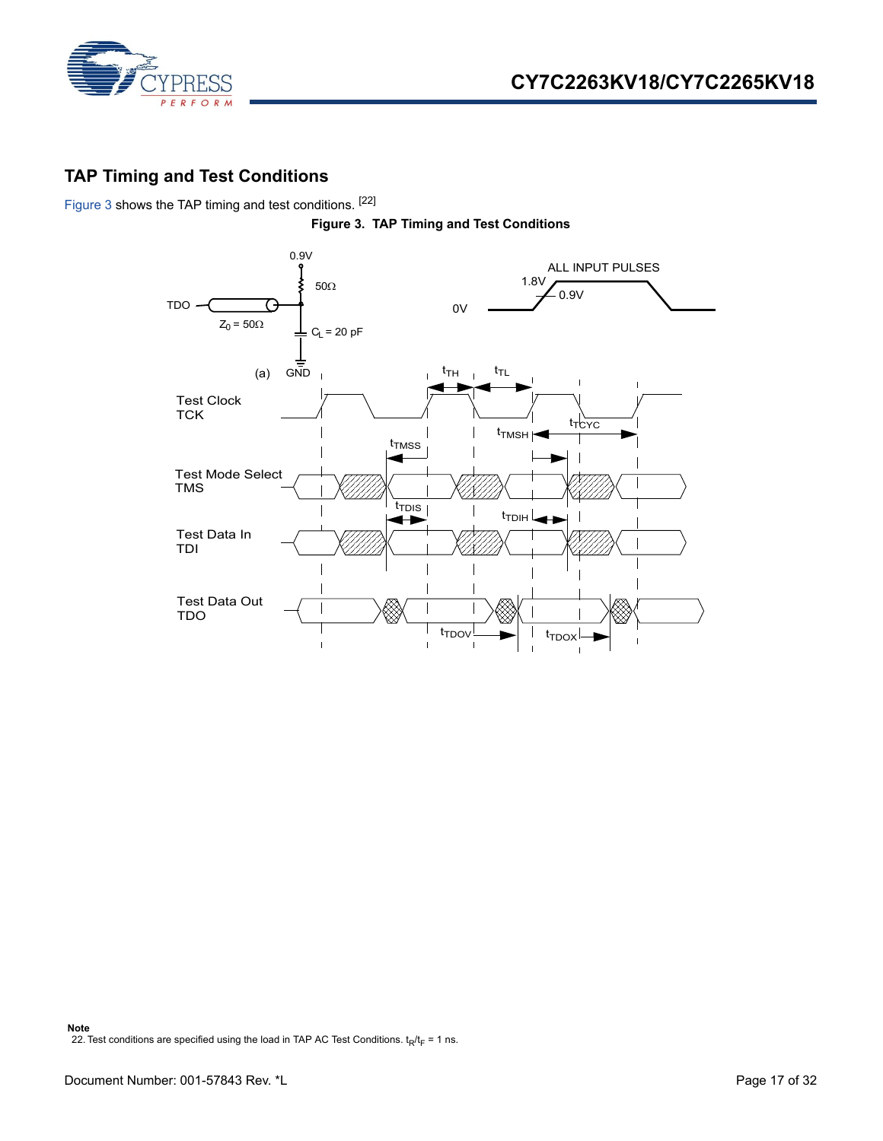

### <span id="page-16-0"></span>**TAP Timing and Test Conditions**

<span id="page-16-1"></span>[Figure 3](#page-16-1) shows the TAP timing and test conditions. [[22\]](#page-16-2)



<span id="page-16-2"></span>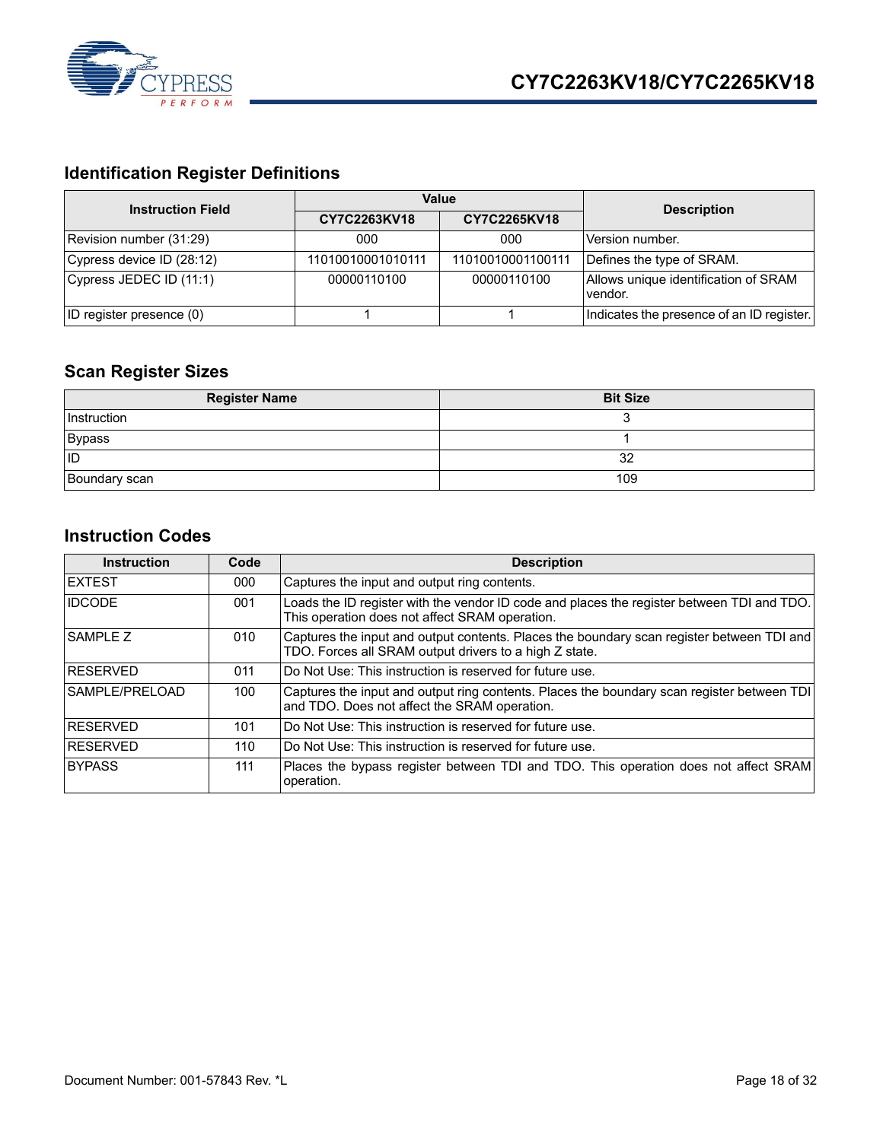

# <span id="page-17-0"></span>**Identification Register Definitions**

| <b>Instruction Field</b>  |                   | Value             | <b>Description</b>                              |  |
|---------------------------|-------------------|-------------------|-------------------------------------------------|--|
|                           | CY7C2263KV18      | CY7C2265KV18      |                                                 |  |
| Revision number (31:29)   | 000               | 000               | Version number.                                 |  |
| Cypress device ID (28:12) | 11010010001010111 | 11010010001100111 | Defines the type of SRAM.                       |  |
| Cypress JEDEC ID (11:1)   | 00000110100       | 00000110100       | Allows unique identification of SRAM<br>vendor. |  |
| ID register presence (0)  |                   |                   | Indicates the presence of an ID register.       |  |

## <span id="page-17-1"></span>**Scan Register Sizes**

| <b>Register Name</b> | <b>Bit Size</b> |
|----------------------|-----------------|
| Instruction          |                 |
| <b>Bypass</b>        |                 |
| lid                  | 32              |
| Boundary scan        | 109             |

### <span id="page-17-2"></span>**Instruction Codes**

| <b>Instruction</b> | Code | <b>Description</b>                                                                                                                                  |
|--------------------|------|-----------------------------------------------------------------------------------------------------------------------------------------------------|
| <b>IEXTEST</b>     | 000  | Captures the input and output ring contents.                                                                                                        |
| <b>IDCODE</b>      | 001  | Loads the ID register with the vendor ID code and places the register between TDI and TDO.<br>This operation does not affect SRAM operation.        |
| SAMPLE Z           | 010  | Captures the input and output contents. Places the boundary scan register between TDI and<br>TDO. Forces all SRAM output drivers to a high Z state. |
| <b>RESERVED</b>    | 011  | Do Not Use: This instruction is reserved for future use.                                                                                            |
| SAMPLE/PRELOAD     | 100  | Captures the input and output ring contents. Places the boundary scan register between TDI<br>and TDO. Does not affect the SRAM operation.          |
| <b>RESERVED</b>    | 101  | Do Not Use: This instruction is reserved for future use.                                                                                            |
| <b>RESERVED</b>    | 110  | Do Not Use: This instruction is reserved for future use.                                                                                            |
| <b>BYPASS</b>      | 111  | Places the bypass register between TDI and TDO. This operation does not affect SRAM<br>operation.                                                   |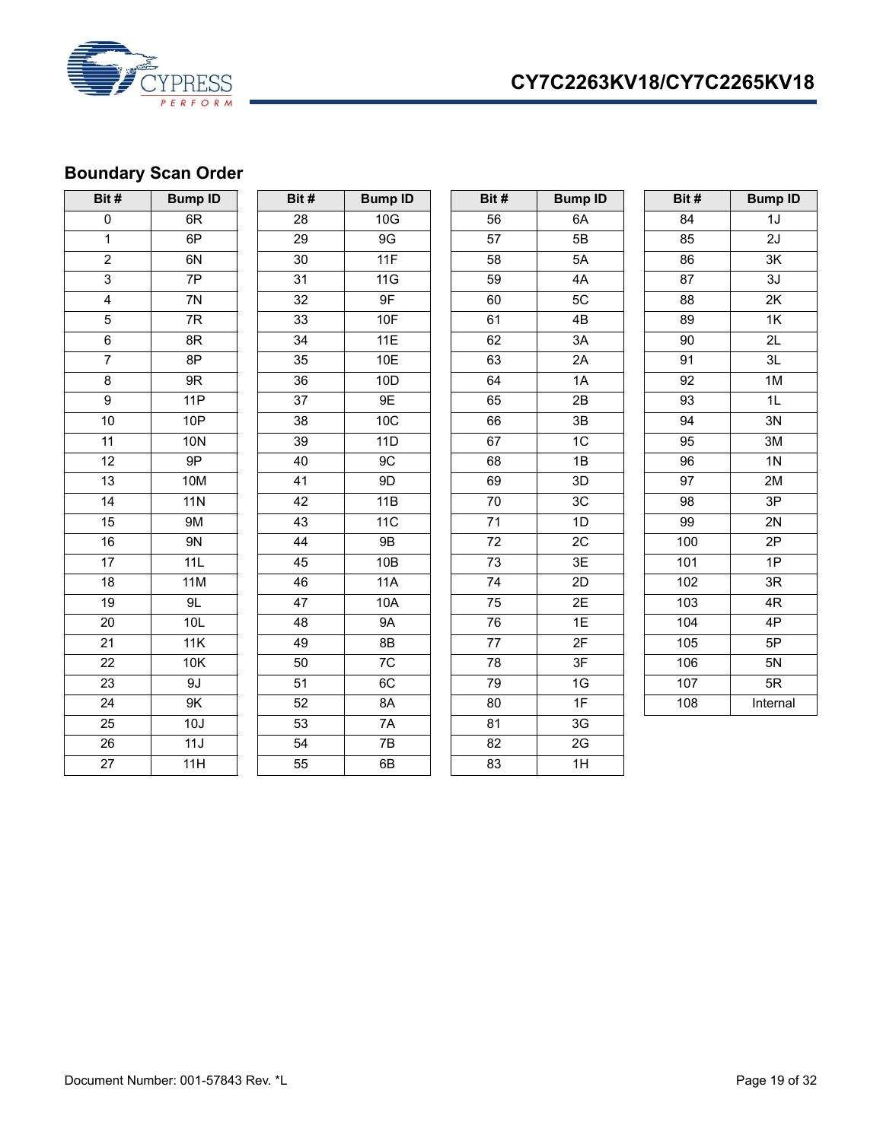



# <span id="page-18-0"></span>**Boundary Scan Order**

| Bit#            | <b>Bump ID</b> | Bit#            | <b>Bump ID</b> | Bit#            | <b>Bump ID</b> | Bit# | <b>Bump ID</b>  |
|-----------------|----------------|-----------------|----------------|-----------------|----------------|------|-----------------|
| 0               | 6R             | 28              | 10G            | 56              | 6A             | 84   | 1J              |
| $\mathbf 1$     | 6P             | 29              | $9\mathrm{G}$  | 57              | 5B             | 85   | 2J              |
| $\overline{2}$  | 6N             | 30              | 11F            | 58              | 5A             | 86   | 3K              |
| $\overline{3}$  | 7P             | 31              | 11G            | 59              | 4A             | 87   | 3J              |
| $\overline{4}$  | 7N             | 32              | 9F             | 60              | 5C             | 88   | 2K              |
| $\overline{5}$  | 7R             | 33              | <b>10F</b>     | 61              | 4B             | 89   | 1K              |
| $\overline{6}$  | 8R             | 34              | 11E            | 62              | 3A             | 90   | $\overline{2L}$ |
| $\overline{7}$  | 8P             | 35              | 10E            | 63              | 2A             | 91   | 3L              |
| 8               | 9R             | $\overline{36}$ | 10D            | 64              | 1A             | 92   | 1M              |
| $\overline{9}$  | 11P            | $\overline{37}$ | 9E             | 65              | 2B             | 93   | 1L              |
| $10$            | <b>10P</b>     | 38              | 10C            | 66              | 3B             | 94   | 3N              |
| 11              | <b>10N</b>     | 39              | 11D            | 67              | 1C             | 95   | 3M              |
| 12              | 9P             | 40              | 9C             | 68              | 1B             | 96   | 1 <sub>N</sub>  |
| 13              | <b>10M</b>     | 41              | 9D             | 69              | 3D             | 97   | 2M              |
| 14              | 11N            | 42              | 11B            | 70              | $3\mathrm{C}$  | 98   | 3P              |
| 15              | <b>9M</b>      | 43              | 11C            | 71              | 1D             | 99   | 2N              |
| 16              | 9N             | 44              | <b>9B</b>      | 72              | 2C             | 100  | 2P              |
| $\overline{17}$ | 11L            | 45              | 10B            | $\overline{73}$ | 3E             | 101  | 1P              |
| 18              | <b>11M</b>     | 46              | <b>11A</b>     | 74              | 2D             | 102  | 3R              |
| 19              | 9L             | 47              | 10A            | 75              | 2E             | 103  | 4R              |
| 20              | 10L            | 48              | <b>9A</b>      | 76              | 1E             | 104  | 4P              |
| 21              | 11K            | 49              | 8B             | 77              | 2F             | 105  | 5P              |
| 22              | 10K            | 50              | 7C             | 78              | 3F             | 106  | 5N              |
| 23              | 9J             | 51              | 6C             | 79              | 1G             | 107  | 5R              |
| 24              | $9K$           | 52              | 8A             | 80              | 1F             | 108  | Internal        |
| $\overline{25}$ | 10J            | 53              | 7A             | 81              | 3G             |      |                 |
| 26              | 11J            | 54              | 7B             | 82              | 2G             |      |                 |
| $\overline{27}$ | 11H            | 55              | 6B             | 83              | 1H             |      |                 |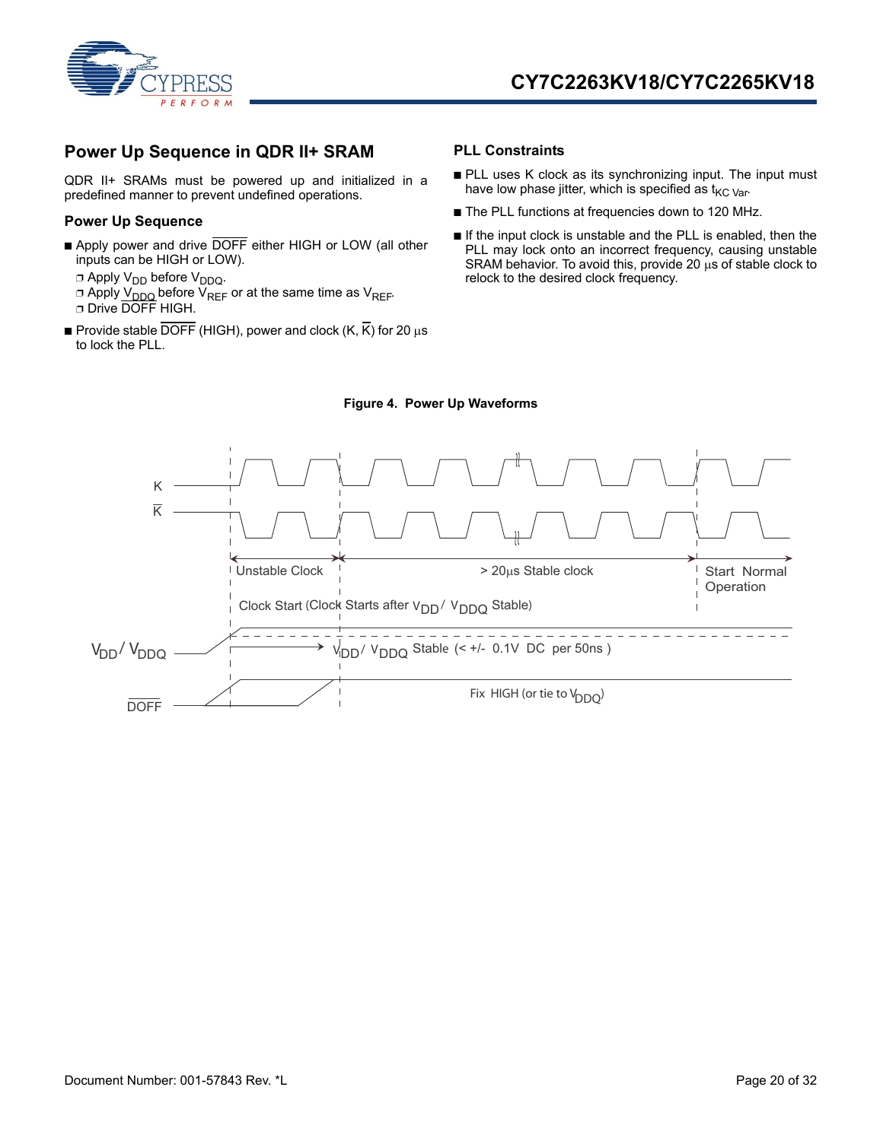

### <span id="page-19-0"></span>**Power Up Sequence in QDR II+ SRAM**

QDR II+ SRAMs must be powered up and initialized in a predefined manner to prevent undefined operations.

#### <span id="page-19-1"></span>**Power Up Sequence**

- Apply power and drive DOFF either HIGH or LOW (all other inputs can be HIGH or LOW).
	- $\Box$  Apply V<sub>DD</sub> before V<sub>DDQ</sub>.
	- □ Apply V<sub>DDQ</sub> before V<sub>REF</sub> or at the same time as V<sub>REF</sub>. ❐ Drive DOFF HIGH.
- **Provide stable DOFF** (HIGH), power and clock  $(K, \overline{K})$  for 20  $\mu s$ to lock the PLL.

#### <span id="page-19-2"></span>**PLL Constraints**

- PLL uses K clock as its synchronizing input. The input must have low phase jitter, which is specified as  $t_{\text{KC Var}}$ .
- The PLL functions at frequencies down to 120 MHz.
- If the input clock is unstable and the PLL is enabled, then the PLL may lock onto an incorrect frequency, causing unstable SRAM behavior. To avoid this, provide 20  $\mu$ s of stable clock to relock to the desired clock frequency.



### **Figure 4. Power Up Waveforms**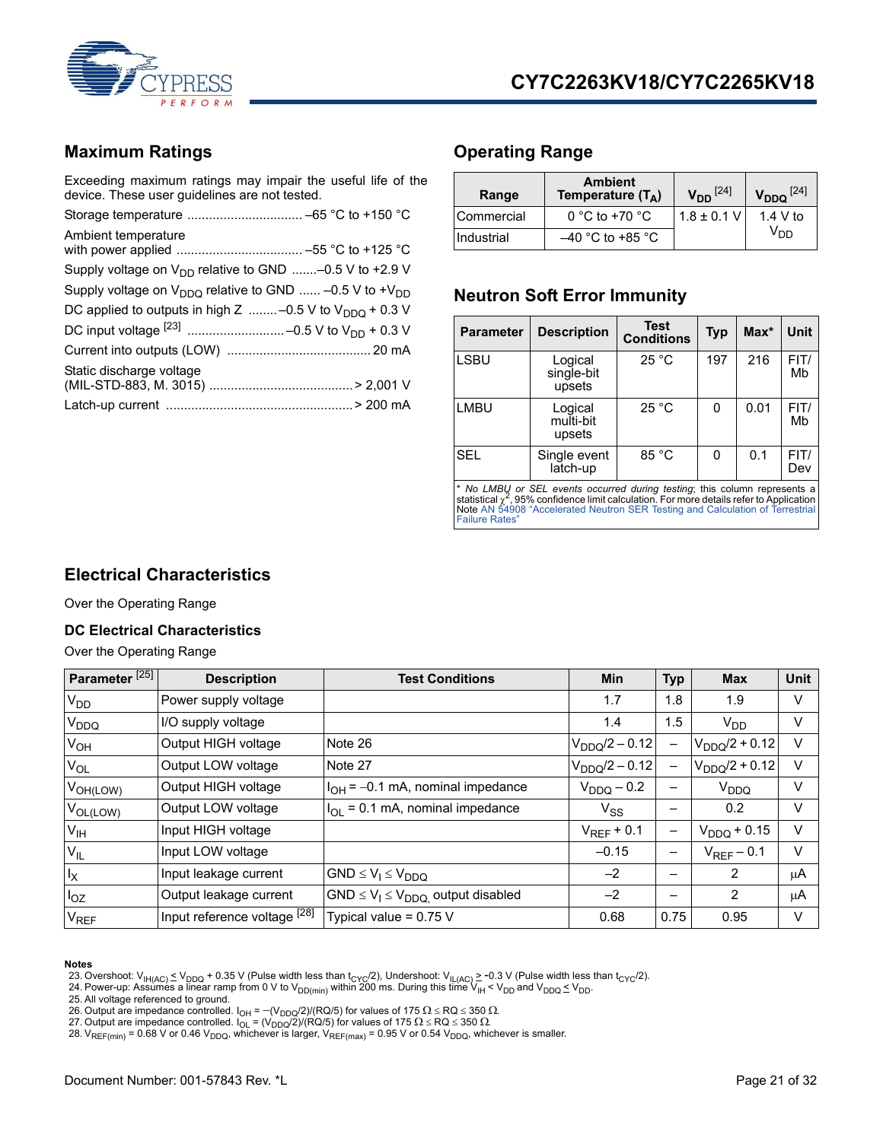

### <span id="page-20-0"></span>**Maximum Ratings**

Exceeding maximum ratings may impair the useful life of the device. These user guidelines are not tested.

| Ambient temperature                                               |  |
|-------------------------------------------------------------------|--|
| Supply voltage on $V_{DD}$ relative to GND -0.5 V to +2.9 V       |  |
| Supply voltage on $V_{DDQ}$ relative to GND  -0.5 V to + $V_{DD}$ |  |
| DC applied to outputs in high Z  -0.5 V to $V_{DDQ}$ + 0.3 V      |  |
|                                                                   |  |
|                                                                   |  |
| Static discharge voltage                                          |  |
|                                                                   |  |
|                                                                   |  |

### <span id="page-20-1"></span>**Operating Range**

| Range      | <b>Ambient</b><br>Temperature $(T_A)$ | $V_{DD}$ <sup>[24]</sup> | $V_{DDQ}$ <sup>[24]</sup> |
|------------|---------------------------------------|--------------------------|---------------------------|
| Commercial | 0 °C to +70 $\degree$ C               | $1.8 \pm 0.1$ V          | 1.4 V to                  |
| Industrial | $-40$ °C to +85 °C                    |                          | V <sub>DD</sub>           |

### <span id="page-20-2"></span>**Neutron Soft Error Immunity**

| <b>Parameter</b> | <b>Description</b>                                                        | <b>Test</b><br><b>Conditions</b> | <b>Typ</b> | $Max^*$ | Unit        |
|------------------|---------------------------------------------------------------------------|----------------------------------|------------|---------|-------------|
| <b>LSBU</b>      | Logical<br>single-bit<br>upsets                                           | 25 °C                            | 197        | 216     | FIT/<br>Mb  |
| <b>LMBU</b>      | Logical<br>multi-bit<br>upsets                                            | 25 °C                            | 0          | 0.01    | FIT/<br>Mb  |
| <b>SEL</b>       | Single event<br>latch-up                                                  | 85 °C                            | 0          | 0.1     | FIT/<br>Dev |
|                  | * No LMBU or SEL events occurred during testing: this column represents a |                                  |            |         |             |

\* *No LMBU or SEL events occurred during testing*; this column represents a<br>statistical <sub>X</sub>\*, 95% confidence limit calculation. For more details refer to Application<br>Note AN 54908 "Accelerated Neutron SER Testing and Calcu [Failure Rates"](http://www.cypress.com/?docID=18149)

### <span id="page-20-3"></span>**Electrical Characteristics**

Over the Operating Range

### <span id="page-20-4"></span>**DC Electrical Characteristics**

Over the Operating Range

| Parameter <sup>[25]</sup> | <b>Description</b>           | <b>Test Conditions</b>                      | <b>Min</b>         | <b>Typ</b>               | <b>Max</b>         | <b>Unit</b> |
|---------------------------|------------------------------|---------------------------------------------|--------------------|--------------------------|--------------------|-------------|
| $V_{DD}$                  | Power supply voltage         |                                             | 1.7                | 1.8                      | 1.9                | V           |
| <b>V<sub>DDQ</sub></b>    | I/O supply voltage           |                                             | 1.4                | 1.5                      | $V_{DD}$           | V           |
| $V_{OH}$                  | Output HIGH voltage          | Note 26                                     | $V_{DDQ}/2 - 0.12$ | —                        | $V_{DDQ}/2 + 0.12$ | $\vee$      |
| $V_{OL}$                  | Output LOW voltage           | Note 27                                     | $V_{DDQ}/2 - 0.12$ | —                        | $V_{DDO}/2 + 0.12$ | $\vee$      |
| $V_{OH(LOW)}$             | Output HIGH voltage          | $I_{OH}$ = -0.1 mA, nominal impedance       | $V_{DDQ}$ – 0.2    |                          | V <sub>DDQ</sub>   | V           |
| $V_{OL(LOW)}$             | Output LOW voltage           | $I_{OL}$ = 0.1 mA, nominal impedance        | $V_{SS}$           |                          | 0.2                | V           |
| V <sub>IH</sub>           | Input HIGH voltage           |                                             | $V_{REF}$ + 0.1    | -                        | $V_{DDQ}$ + 0.15   | V           |
| $V_{IL}$                  | Input LOW voltage            |                                             | $-0.15$            | $\overline{\phantom{m}}$ | $V_{REF}$ – 0.1    | V           |
| $I_X$                     | Input leakage current        | $GND \leq V_1 \leq V_{DDQ}$                 | $-2$               | —                        | $\overline{2}$     | μA          |
| $I_{OZ}$                  | Output leakage current       | $GND \leq V_1 \leq V_{DDQ}$ output disabled | $-2$               | -                        | 2                  | μA          |
| <b>V<sub>REF</sub></b>    | Input reference voltage [28] | Typical value = $0.75$ V                    | 0.68               | 0.75                     | 0.95               | v           |

#### **Notes**

<span id="page-20-6"></span>23. Overshoot: V<sub>IH(AC)</sub> ≤ V<sub>DDQ</sub> + 0.35 V (Pulse width less than t<sub>CYC</sub>/2), Undershoot: V<sub>IL(AC)</sub> ≥ −0.3 V (Pulse width less than t<sub>CYC</sub>/2).<br>24. Power-up: Assumes a linear ramp from 0 V to V<sub>DD(min)</sub> within 200 ms. Durin

<span id="page-20-5"></span>

<span id="page-20-7"></span>25. All voltage referenced to ground.

- <span id="page-20-8"></span>26. Output are impedance controlled. I<sub>OH</sub> =  $-(\mathsf{V}_{\mathsf{DDQ}}/2) / (\mathsf{RQ}/5)$  for values of 175  $\Omega$  ≤ RQ ≤ 350  $\Omega$ .<br>27. Output are impedance controlled. I<sub>OL</sub> = (V<sub>DDQ</sub>/2)/(RQ/5) for values of 175  $\Omega$  ≤ RQ ≤ 350  $\Omega$ .
- <span id="page-20-9"></span>
- <span id="page-20-10"></span>28. V<sub>REF(min)</sub> = 0.68 V or 0.46 V<sub>DDQ</sub>, whichever is larger, V<sub>REF(max)</sub> = 0.95 V or 0.54 V<sub>DDQ</sub>, whichever is smaller.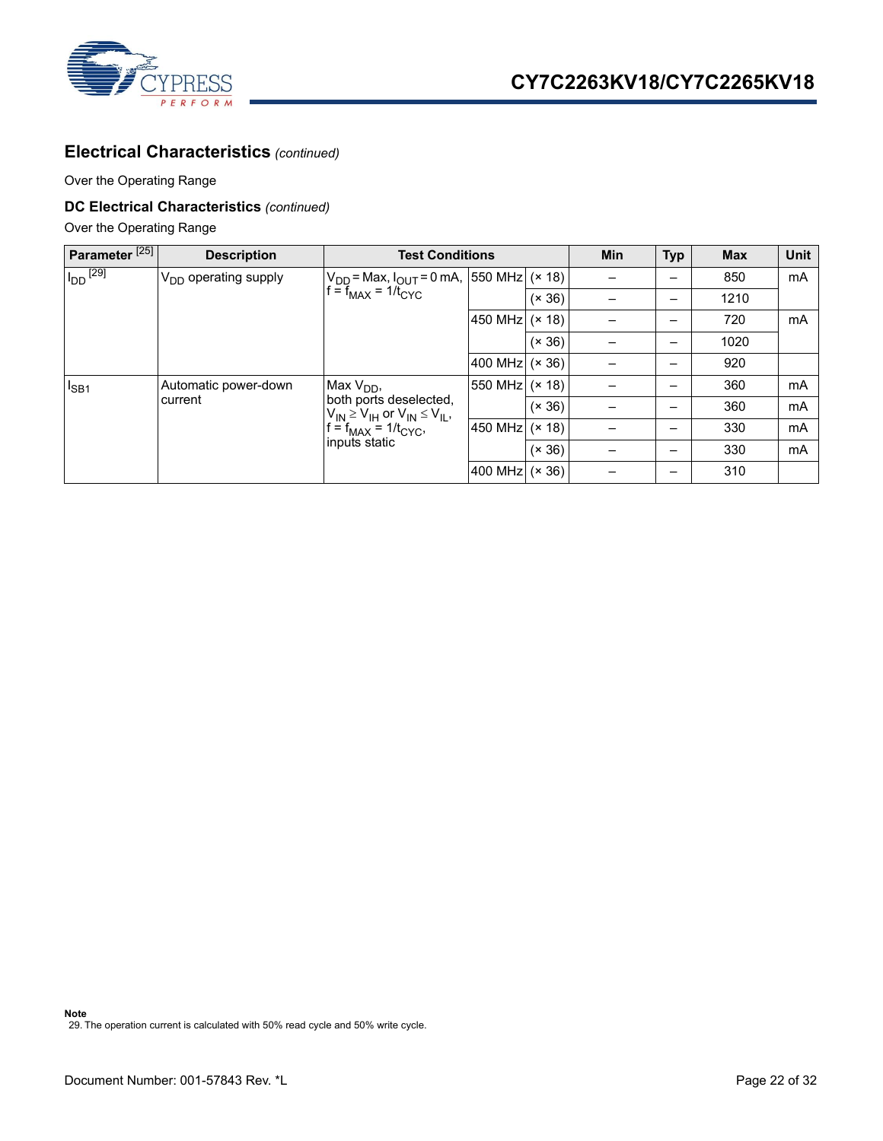

### **Electrical Characteristics** *(continued)*

Over the Operating Range

### **DC Electrical Characteristics** *(continued)*

Over the Operating Range

<span id="page-21-0"></span>

| Parameter <sup>[25]</sup> | <b>Description</b>        | <b>Test Conditions</b>                                                                                                                   | Min              | <b>Typ</b> | <b>Max</b> | <b>Unit</b>              |      |    |
|---------------------------|---------------------------|------------------------------------------------------------------------------------------------------------------------------------------|------------------|------------|------------|--------------------------|------|----|
| $I_{DD}$ <sup>[29]</sup>  | $V_{DD}$ operating supply | $V_{DD}$ = Max, $I_{OUT}$ = 0 mA, [550 MHz] (× 18)]<br>$f = f_{MAX} = 1/\overline{t_{CYC}}$                                              |                  |            |            | -                        | 850  | mA |
|                           |                           |                                                                                                                                          |                  | (x 36)     |            |                          | 1210 |    |
|                           |                           |                                                                                                                                          | 450 MHz (× 18)   |            |            | —                        | 720  | mA |
|                           |                           |                                                                                                                                          |                  | (x 36)     |            | $\overline{\phantom{0}}$ | 1020 |    |
|                           |                           |                                                                                                                                          | 400 MHz $(x 36)$ |            |            | -                        | 920  |    |
| $I_{SB1}$                 | Automatic power-down      | Max $V_{DD}$ ,<br>both ports deselected.<br>$V_{IN} \geq V_{IH}$ or $V_{IN} \leq V_{IL}$ ,<br>$f = f_{MAX} = 1/t_{CYC}$<br>inputs static | 550 MHz $(x 18)$ |            |            | -                        | 360  | mA |
|                           | current                   |                                                                                                                                          |                  | (x 36)     |            | -                        | 360  | mA |
|                           |                           |                                                                                                                                          | 450 MHz (× 18)   |            |            | $\overline{\phantom{0}}$ | 330  | mA |
|                           |                           |                                                                                                                                          |                  | (x 36)     |            | -                        | 330  | mA |
|                           |                           |                                                                                                                                          | 400 MHz $(x 36)$ |            |            | $\overline{\phantom{0}}$ | 310  |    |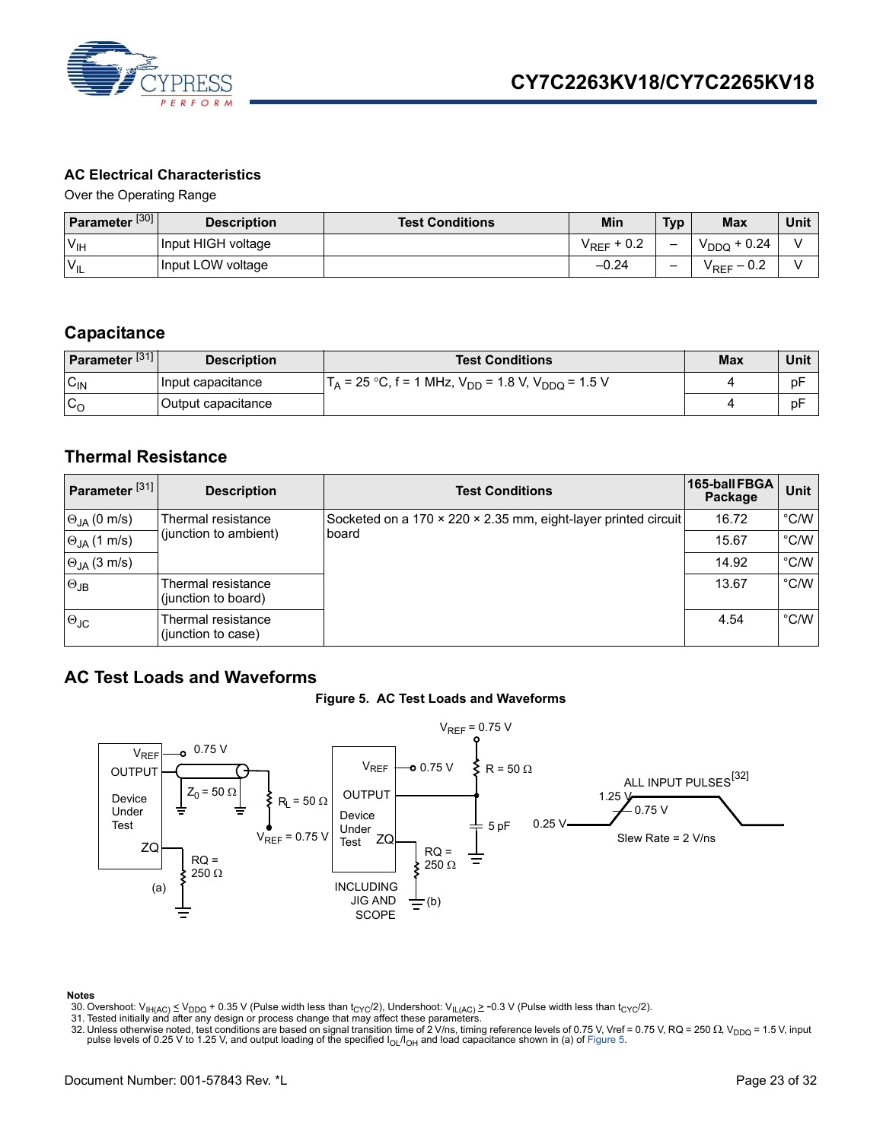

### <span id="page-22-0"></span>**AC Electrical Characteristics**

Over the Operating Range

| Parameter <sup>[30]</sup> | <b>Description</b> | <b>Test Conditions</b> | Min                        | <b>Typ</b> | <b>Max</b>      | Unit |
|---------------------------|--------------------|------------------------|----------------------------|------------|-----------------|------|
| $V_{\text{IH}}$           | Input HIGH voltage |                        | $+0.2$<br>$V_{\text{RFF}}$ | -          | $+0.24$<br>YDDO |      |
| $V_{IL}$                  | Input LOW voltage  |                        | $-0.24$                    | -          | $-0.2$<br>'REF  |      |

### <span id="page-22-1"></span>**Capacitance**

| Parameter <sup>[31]</sup> | <b>Description</b> | <b>Test Conditions</b>                                        | <b>Max</b> | Unit |
|---------------------------|--------------------|---------------------------------------------------------------|------------|------|
| $C_{IN}$                  | Input capacitance  | $T_A$ = 25 °C, f = 1 MHz, $V_{DD}$ = 1.8 V, $V_{DDO}$ = 1.5 V |            | рF   |
| $\sim$<br>ັ∿ດ             | Output capacitance |                                                               |            | рF   |

### <span id="page-22-2"></span>**Thermal Resistance**

| Parameter <sup>[31]</sup> | <b>Description</b>                          | <b>Test Conditions</b>                                                  | 165-ball FBGA<br>Package | Unit          |
|---------------------------|---------------------------------------------|-------------------------------------------------------------------------|--------------------------|---------------|
| $\Theta_{JA}$ (0 m/s)     | Thermal resistance<br>(junction to ambient) | Socketed on a 170 x 220 x 2.35 mm, eight-layer printed circuit<br>board | 16.72                    | $\degree$ C/W |
| $\Theta_{JA}$ (1 m/s)     |                                             |                                                                         | 15.67                    | $\degree$ C/W |
| $\Theta_{JA}$ (3 m/s)     |                                             |                                                                         | 14.92                    | $\degree$ C/W |
| $\Theta$ JB               | Thermal resistance<br>(junction to board)   |                                                                         | 13.67                    | $\degree$ C/W |
| $\Theta$ JC               | Thermal resistance<br>(junction to case)    |                                                                         | 4.54                     | $\degree$ C/W |

### <span id="page-22-6"></span><span id="page-22-3"></span>**AC Test Loads and Waveforms**





- <span id="page-22-7"></span>
- <span id="page-22-5"></span><span id="page-22-4"></span>
- 30. Overshoot: V<sub>IH(AC)</sub>  $\leq$  V<sub>DDQ</sub> + 0.35 V (Pulse width less than t<sub>CYC</sub>/2), Undershoot: V<sub>IL(AC)</sub>  $\geq$  -0.3 V (Pulse width less than t<sub>CYC</sub>/2).<br>31. Tested initially and after any design or process change that may af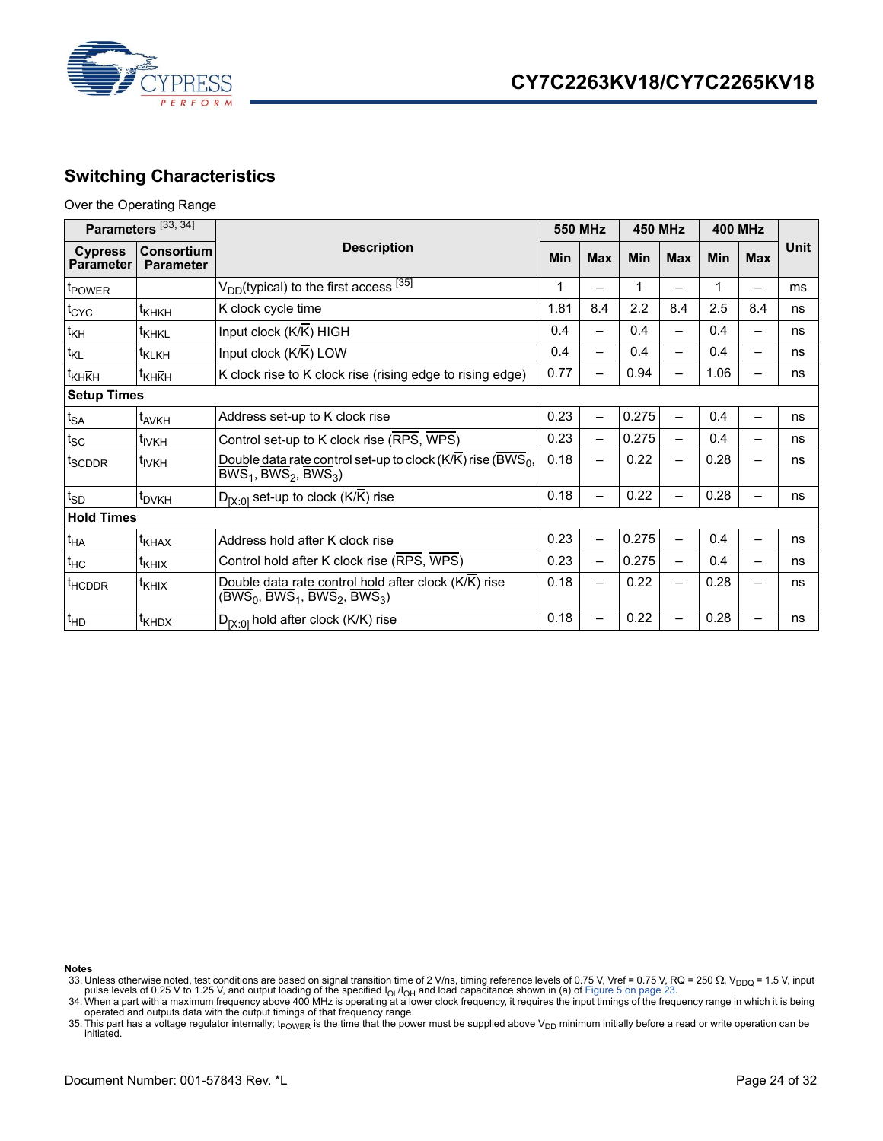

### <span id="page-23-0"></span>**Switching Characteristics**

#### Over the Operating Range

| Parameters [33, 34]                |                                |                                                                                                                                           |      | <b>550 MHz</b>           |            | <b>450 MHz</b> |      | <b>400 MHz</b> |      |
|------------------------------------|--------------------------------|-------------------------------------------------------------------------------------------------------------------------------------------|------|--------------------------|------------|----------------|------|----------------|------|
| <b>Cypress</b><br><b>Parameter</b> | Consortium<br><b>Parameter</b> | <b>Description</b>                                                                                                                        |      | <b>Max</b>               | <b>Min</b> | <b>Max</b>     | Min  | <b>Max</b>     | Unit |
| <i>E</i> POWER                     |                                | $V_{DD}$ (typical) to the first access $^{[35]}$                                                                                          | 1    |                          |            |                | 1    |                | ms   |
| $\mathfrak{t}_{\rm CYC}$           | <sup>t</sup> кнкн              | K clock cycle time                                                                                                                        | 1.81 | 8.4                      | 2.2        | 8.4            | 2.5  | 8.4            | ns   |
| $t_{\mathsf{KH}}$                  | <sup>I</sup> KHKL              | Input clock $(K/K)$ HIGH                                                                                                                  | 0.4  |                          | 0.4        |                | 0.4  |                | ns   |
| $t_{KL}$                           | t <sub>KLKH</sub>              | Input clock $(K/K)$ LOW                                                                                                                   | 0.4  |                          | 0.4        |                | 0.4  |                | ns   |
| t <sub>KHKH</sub>                  | <sup>Т</sup> КНКН              | K clock rise to $\overline{K}$ clock rise (rising edge to rising edge)                                                                    | 0.77 |                          | 0.94       |                | 1.06 |                | ns   |
| <b>Setup Times</b>                 |                                |                                                                                                                                           |      |                          |            |                |      |                |      |
| $t_{SA}$                           | t <sub>AVKH</sub>              | Address set-up to K clock rise                                                                                                            | 0.23 | -                        | 0.275      |                | 0.4  |                | ns   |
| $t_{SC}$                           | t <sub>IVKH</sub>              | Control set-up to K clock rise (RPS, WPS)                                                                                                 |      | $\overline{\phantom{0}}$ | 0.275      |                | 0.4  |                | ns   |
| t <sub>SCDDR</sub>                 | t <sub>IVKH</sub>              | Double data rate control set-up to clock (K/K) rise (BWS <sub>0</sub> ,<br>$\overline{BWS}_1$ , $\overline{BWS}_2$ , $\overline{BWS}_3$ ) |      |                          | 0.22       |                | 0.28 |                | ns   |
| $t_{SD}$                           | t <sub>DVKH</sub>              | $D_{[X:0]}$ set-up to clock (K/K) rise                                                                                                    | 0.18 |                          | 0.22       |                | 0.28 |                | ns   |
| <b>Hold Times</b>                  |                                |                                                                                                                                           |      |                          |            |                |      |                |      |
| $t_{HA}$                           | t <sub>KHAX</sub>              | 0.23<br>Address hold after K clock rise                                                                                                   |      | —                        | 0.275      |                | 0.4  |                | ns   |
| $t_{HC}$                           | $t_{\text{KHIX}}$              | Control hold after K clock rise (RPS, WPS)<br>0.23                                                                                        |      | —                        | 0.275      |                | 0.4  |                | ns   |
| t <sub>HCDDR</sub>                 | $t_{\text{KHIX}}$              | Double data rate control hold after clock $(K/K)$ rise<br>$(BWS_0, BWS_1, BWS_2, BWS_3)$                                                  | 0.18 |                          | 0.22       |                | 0.28 |                | ns   |
| $t_{HD}$                           | <sup>t</sup> KHDX              | $D_{[X:0]}$ hold after clock (K/K) rise                                                                                                   | 0.18 |                          | 0.22       |                | 0.28 |                | ns   |

<span id="page-23-2"></span>

<span id="page-23-1"></span><sup>33.</sup> Unless otherwise noted, test conditions are based on signal transition time of 2 V/ns, timing reference levels of 0.75 V, Vref = 0.75 V, RQ = 250  $\Omega$ , V<sub>DDQ</sub> = 1.5 V, input<br>pulse levels of 0.25 V to 1.25 V, and outpu

<span id="page-23-3"></span>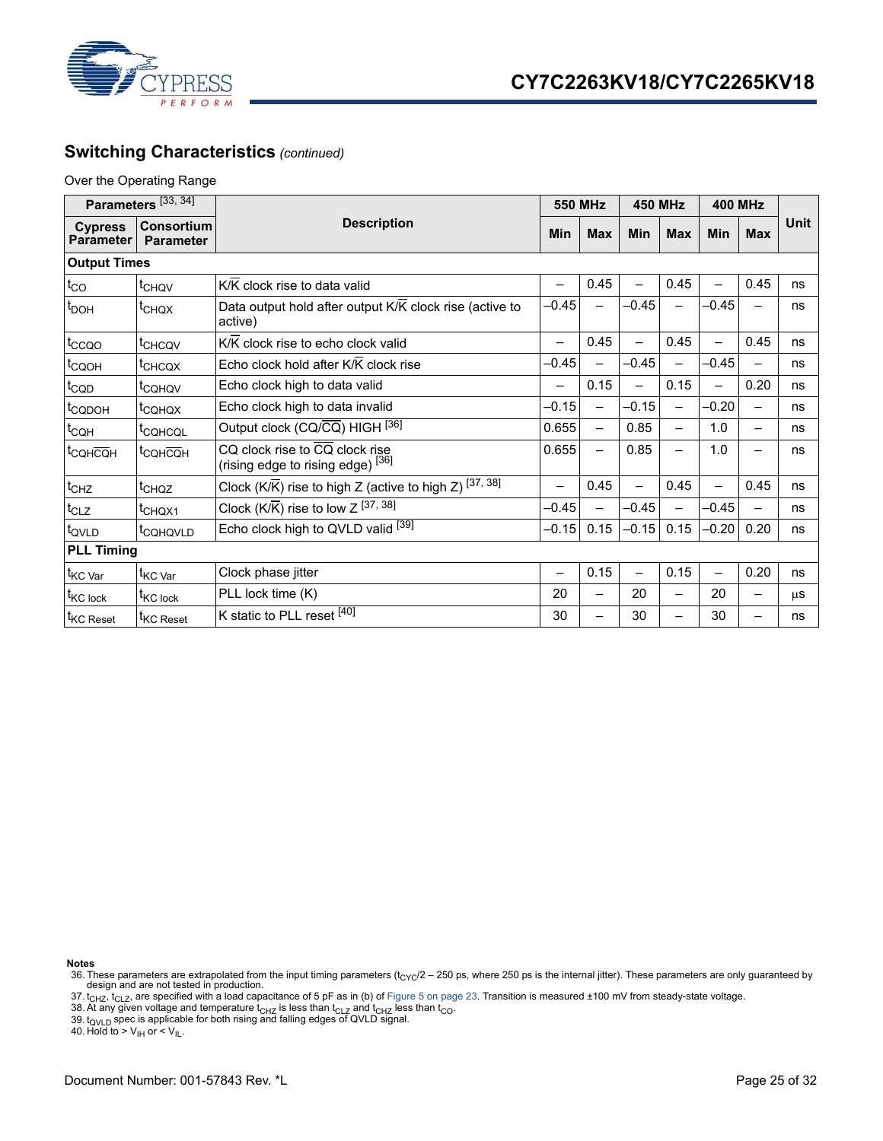

### **Switching Characteristics** *(continued)*

#### Over the Operating Range

| Parameters <sup>[33, 34]</sup>     |                                |                                                                                |       | <b>550 MHz</b>           |         | <b>450 MHz</b>  |         | <b>400 MHz</b>           |             |
|------------------------------------|--------------------------------|--------------------------------------------------------------------------------|-------|--------------------------|---------|-----------------|---------|--------------------------|-------------|
| <b>Cypress</b><br><b>Parameter</b> | Consortium<br><b>Parameter</b> | <b>Description</b>                                                             | Min   | <b>Max</b>               | Min     | <b>Max</b>      | Min     | <b>Max</b>               | <b>Unit</b> |
| <b>Output Times</b>                |                                |                                                                                |       |                          |         |                 |         |                          |             |
| $t_{CO}$                           | t <sub>CHQV</sub>              | K/K clock rise to data valid                                                   |       | 0.45                     |         | 0.45            |         | 0.45                     | ns          |
| $t_{\text{DOH}}$                   | t <sub>CHQX</sub>              | Data output hold after output K/K clock rise (active to<br>active)             |       |                          | -0.45   |                 | $-0.45$ |                          | ns          |
| t <sub>ccoo</sub>                  | t <sub>CHCQV</sub>             | K/K clock rise to echo clock valid                                             | —     | 0.45                     | —       | 0.45            |         | 0.45                     | ns          |
| t <sub>CQOH</sub>                  | t <sub>CHCQX</sub>             | Echo clock hold after K/K clock rise                                           | -0.45 |                          | $-0.45$ |                 | $-0.45$ |                          | ns          |
| $t_{\text{CQD}}$                   | <sup>I</sup> CQHQV             | Echo clock high to data valid<br>—                                             |       | 0.15                     |         | 0.15            |         | 0.20                     | ns          |
| t <sub>CQDOH</sub>                 | t <sub>CQHQX</sub>             | Echo clock high to data invalid                                                |       | —                        | $-0.15$ |                 | $-0.20$ | $\overline{\phantom{0}}$ | ns          |
| $t_{CQH}$                          | t <sub>CQHCQL</sub>            | Output clock (CQ/CQ) HIGH [36]                                                 |       | $\overline{\phantom{0}}$ | 0.85    | $\qquad \qquad$ | 1.0     | $\qquad \qquad$          | ns          |
| <sup>t</sup> CQHCQH                | t <sub>CQHCQH</sub>            | CQ clock rise to CQ clock rise<br>(rising edge to rising edge) <sup>[36]</sup> |       |                          | 0.85    |                 | 1.0     | -                        | ns          |
| $t_{CHZ}$                          | t <sub>CHQZ</sub>              | Clock (K/ $\overline{K}$ ) rise to high Z (active to high Z) [37, 38]          | —     | 0.45                     | —       | 0.45            | -       | 0.45                     | ns          |
| $t_{CLZ}$                          | t <sub>CHQX1</sub>             | Clock ( $K/\overline{K}$ ) rise to low $Z^{[37, 38]}$<br>$-0.45$<br>$-0.45$    |       | $-0.45$                  |         | ns              |         |                          |             |
| t <sub>QVLD</sub>                  | t <sub>CQHQVLD</sub>           | Echo clock high to QVLD valid [39]<br>0.15<br>$-0.15$<br>$-0.15$               |       |                          |         | 0.15            | $-0.20$ | 0.20                     | ns          |
| <b>PLL Timing</b>                  |                                |                                                                                |       |                          |         |                 |         |                          |             |
| t <sub>KC</sub> var                | t <sub>KC Var</sub>            | 0.15<br>0.15<br>Clock phase jitter<br>—                                        |       | 0.20                     | ns      |                 |         |                          |             |
| t <sub>KC</sub> lock               | <sup>t</sup> KC lock           | 20<br>20<br>20<br>PLL lock time (K)                                            |       |                          |         | $\mu$ S         |         |                          |             |
| t <sub>KC</sub> Reset              | t <sub>KC</sub> Reset          | K static to PLL reset [40]<br>30                                               |       |                          | 30      |                 | 30      |                          | ns          |

- <span id="page-24-2"></span>
- <span id="page-24-3"></span>

<span id="page-24-4"></span>

<span id="page-24-0"></span><sup>36.</sup> These parameters are extrapolated from the input timing parameters ( $t_{CYC}/2 - 250$  ps, where 250 ps is the internal jitter). These parameters are only guaranteed by design and are not tested in production.

<span id="page-24-1"></span><sup>37.</sup> t<sub>CHZ</sub>, t<sub>CLZ</sub>, are specified with a load capacitance of 5 pF as in (b) of [Figure 5 on page 23.](#page-22-6) Transition is measured ±100 mV from steady-state voltage.<br>38. At any given voltage and temperature t<sub>CHZ</sub> is less than t<sub>C</sub>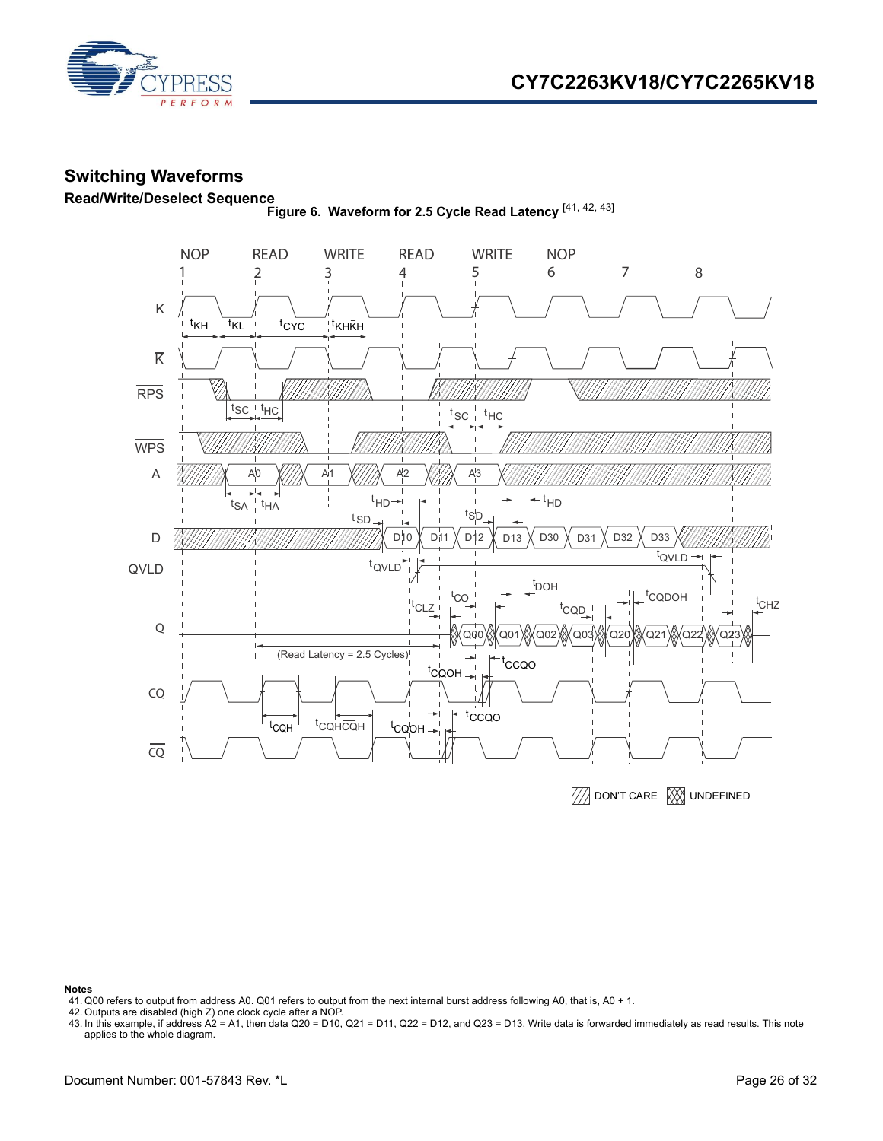



### <span id="page-25-0"></span>**Switching Waveforms**

<span id="page-25-1"></span>**Read/Write/Deselect Sequence Figure 6. Waveform for 2.5 Cycle Read Latency** [\[41](#page-25-2), [42](#page-25-3), [43](#page-25-4)]



**WA DON'T CARE WAS UNDEFINED** 

- <span id="page-25-2"></span>41. Q00 refers to output from address A0. Q01 refers to output from the next internal burst address following A0, that is, A0 + 1.
- <span id="page-25-3"></span>42. Outputs are disabled (high Z) one clock cycle after a NOP.
- <span id="page-25-4"></span>43. In this example, if address A2 = A1, then data Q20 = D10, Q21 = D11, Q22 = D12, and Q23 = D13. Write data is forwarded immediately as read results. This note applies to the whole diagram.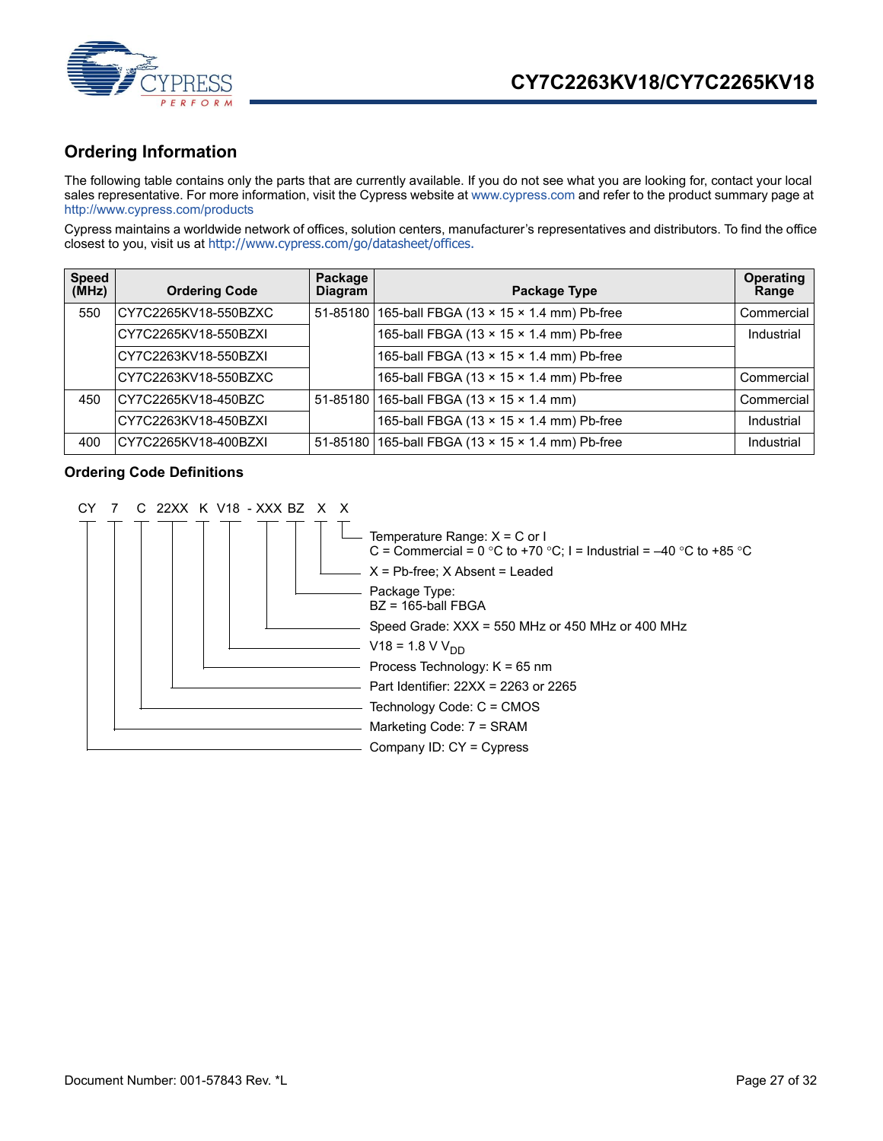

### <span id="page-26-0"></span>**Ordering Information**

The following table contains only the parts that are currently available. If you do not see what you are looking for, contact your local sales representative. For more information, visit the Cypress website at [www.cypress.com](http://www.cypress.com) and refer to the product summary page at [http://www.cypress.com/products](http://www.cypress.com/products/)

Cypress maintains a worldwide network of offices, solution centers, manufacturer's representatives and distributors. To find the office closest to you, visit us at [http://www.cypress.com/go/datasheet/offices.](http://www.cypress.com/go/datasheet/offices)

| <b>Speed</b><br>(MHz) | <b>Ordering Code</b> | Package<br><b>Diagram</b> | Package Type                                            | <b>Operating</b><br>Range |
|-----------------------|----------------------|---------------------------|---------------------------------------------------------|---------------------------|
| 550                   | CY7C2265KV18-550BZXC |                           | 51-85180 165-ball FBGA (13 x 15 x 1.4 mm) Pb-free       | Commercial                |
|                       | CY7C2265KV18-550BZXI |                           | 165-ball FBGA (13 × 15 × 1.4 mm) Pb-free                | Industrial                |
|                       | CY7C2263KV18-550BZXI |                           | 165-ball FBGA (13 x 15 x 1.4 mm) Pb-free                |                           |
|                       | CY7C2263KV18-550BZXC |                           | 165-ball FBGA (13 x 15 x 1.4 mm) Pb-free                | Commercial                |
| 450                   | CY7C2265KV18-450BZC  |                           | 51-85180 165-ball FBGA (13 $\times$ 15 $\times$ 1.4 mm) | Commercial                |
|                       | CY7C2263KV18-450BZXI |                           | 165-ball FBGA (13 x 15 x 1.4 mm) Pb-free                | Industrial                |
| 400                   | CY7C2265KV18-400BZXI |                           | 51-85180 165-ball FBGA (13 x 15 x 1.4 mm) Pb-free       | Industrial                |

#### <span id="page-26-1"></span>**Ordering Code Definitions**

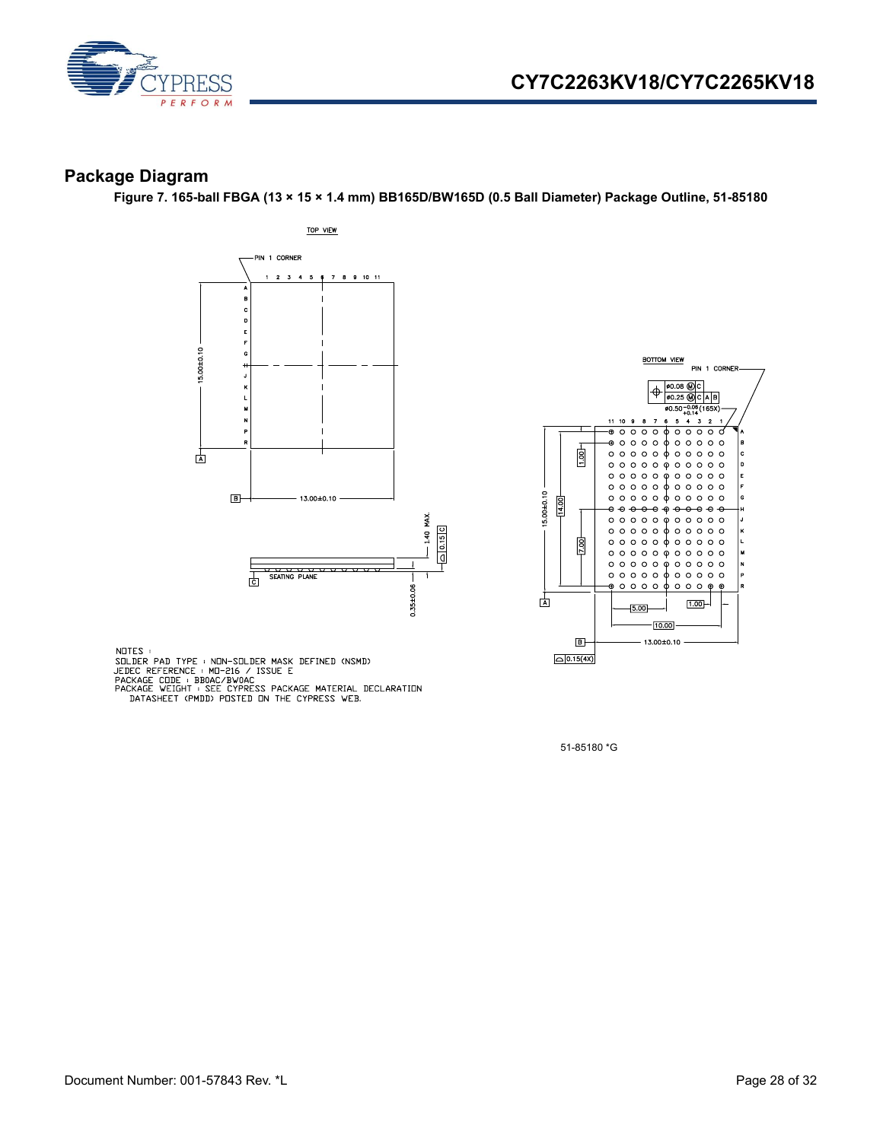

### <span id="page-27-0"></span>**Package Diagram**

**Figure 7. 165-ball FBGA (13 × 15 × 1.4 mm) BB165D/BW165D (0.5 Ball Diameter) Package Outline, 51-85180**





NOTES :

NUILS<br>
SILDER PAD TYPE : NON-SOLDER MASK DEFINED (NSMD)<br>
JEDEC REFERENCE : MO-216 / ISSUE E<br>
PACKAGE CODE : BBOAC/BWOAC<br>
PACKAGE WEIGHT : SEE CYPRESS PACKAGE MATERIAL DECLARATION<br>
DATASHEET (PMDD) POSTED ON THE CYPRESS WEB

51-85180 \*G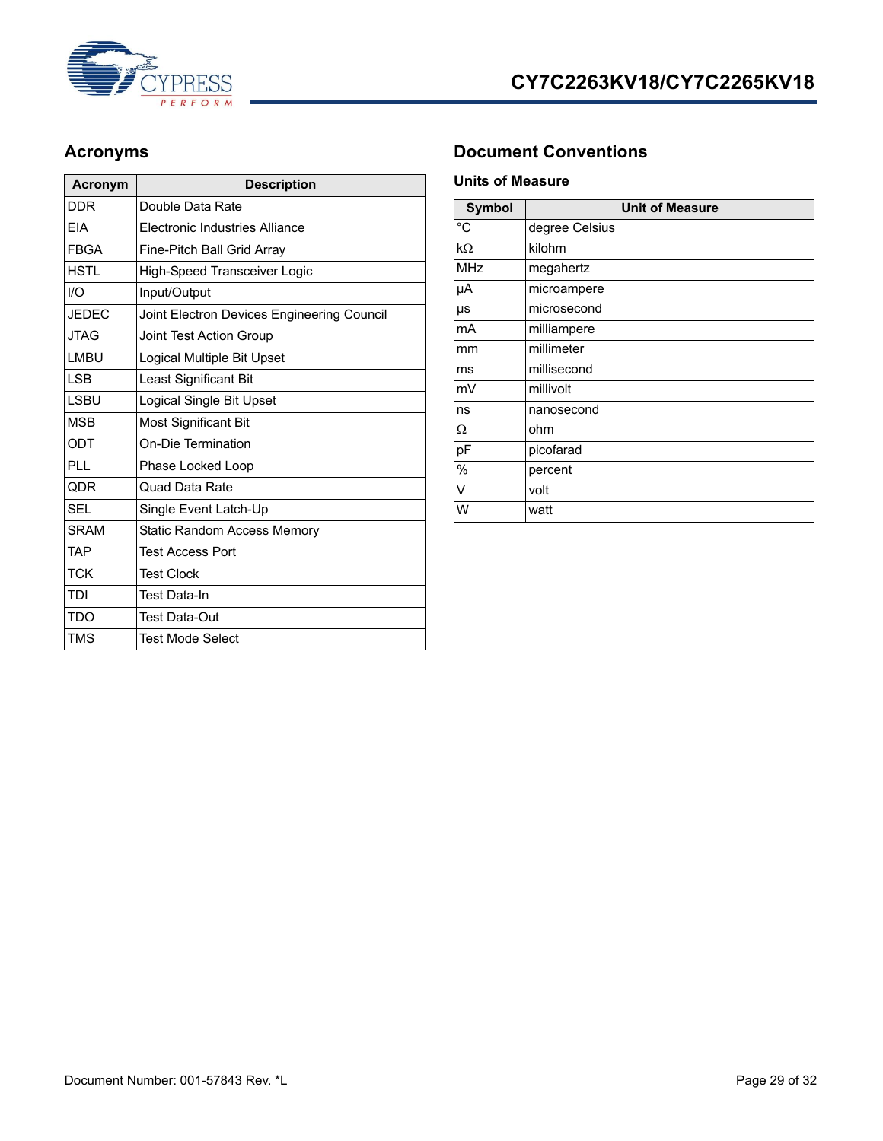

| Acronym      | <b>Description</b>                         |
|--------------|--------------------------------------------|
| DDR          | Double Data Rate                           |
| <b>FIA</b>   | Electronic Industries Alliance             |
| <b>FRGA</b>  | Fine-Pitch Ball Grid Array                 |
| HSTI         | High-Speed Transceiver Logic               |
| 1/O          | Input/Output                               |
| <b>JEDEC</b> | Joint Electron Devices Engineering Council |
| <b>JTAG</b>  | Joint Test Action Group                    |
| LMBU         | Logical Multiple Bit Upset                 |
| <b>LSB</b>   | Least Significant Bit                      |
| <b>LSBU</b>  | Logical Single Bit Upset                   |
| <b>MSB</b>   | Most Significant Bit                       |
| ODT          | On-Die Termination                         |
| PI L         | Phase Locked Loop                          |
| <b>QDR</b>   | Quad Data Rate                             |
| <b>SFI</b>   | Single Event Latch-Up                      |
| <b>SRAM</b>  | <b>Static Random Access Memory</b>         |
| <b>TAP</b>   | <b>Test Access Port</b>                    |
| <b>TCK</b>   | <b>Test Clock</b>                          |
| TDI          | Test Data-In                               |
| TDO          | Test Data-Out                              |
| TMS          | <b>Test Mode Select</b>                    |

## <span id="page-28-0"></span>Acronyms **Document Conventions**

### <span id="page-28-2"></span><span id="page-28-1"></span>**Units of Measure**

| <b>Symbol</b> | <b>Unit of Measure</b> |
|---------------|------------------------|
| $^{\circ}C$   | degree Celsius         |
| kΩ            | kilohm                 |
| <b>MHz</b>    | megahertz              |
| μA            | microampere            |
| μs            | microsecond            |
| mA            | milliampere            |
| mm            | millimeter             |
| ms            | millisecond            |
| mV            | millivolt              |
| ns            | nanosecond             |
| Ω             | ohm                    |
| pF            | picofarad              |
| $\frac{0}{0}$ | percent                |
| V             | volt                   |
| W             | watt                   |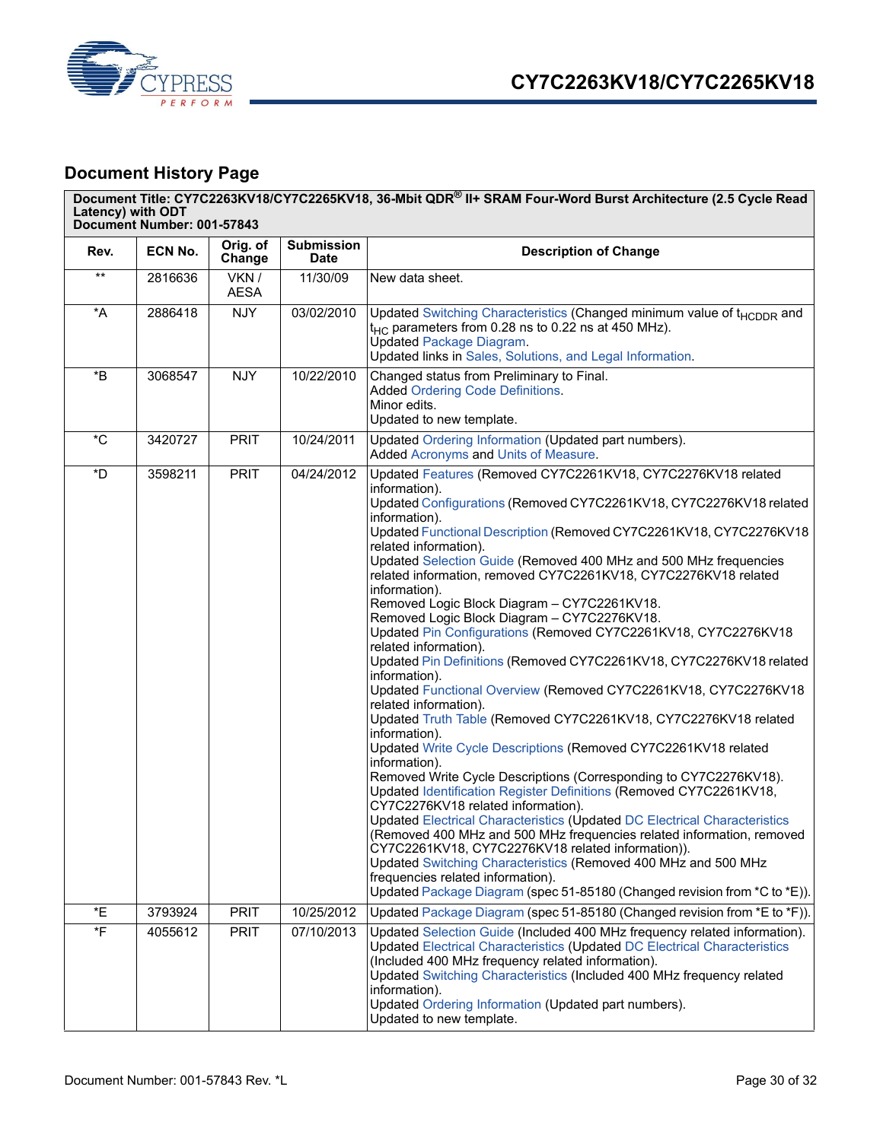

# <span id="page-29-0"></span>**Document History Page**

| Latency) with ODT              | Document Number: 001-57843 |                            |                                  | Document Title: CY7C2263KV18/CY7C2265KV18, 36-Mbit QDR® II+ SRAM Four-Word Burst Architecture (2.5 Cycle Read                                                                                                                                                                                                                                                                                                                                                                                                                                                                                                                                                                                                                                                                                                                                                                                                                                                                                                                                                                                                                                                                                                                                                                                                                                                                                                                                                                                                                                                   |
|--------------------------------|----------------------------|----------------------------|----------------------------------|-----------------------------------------------------------------------------------------------------------------------------------------------------------------------------------------------------------------------------------------------------------------------------------------------------------------------------------------------------------------------------------------------------------------------------------------------------------------------------------------------------------------------------------------------------------------------------------------------------------------------------------------------------------------------------------------------------------------------------------------------------------------------------------------------------------------------------------------------------------------------------------------------------------------------------------------------------------------------------------------------------------------------------------------------------------------------------------------------------------------------------------------------------------------------------------------------------------------------------------------------------------------------------------------------------------------------------------------------------------------------------------------------------------------------------------------------------------------------------------------------------------------------------------------------------------------|
| Rev.                           | ECN No.                    | Orig. of<br>Change         | <b>Submission</b><br><b>Date</b> | <b>Description of Change</b>                                                                                                                                                                                                                                                                                                                                                                                                                                                                                                                                                                                                                                                                                                                                                                                                                                                                                                                                                                                                                                                                                                                                                                                                                                                                                                                                                                                                                                                                                                                                    |
| $***$                          | 2816636                    | VKN /<br><b>AESA</b>       | 11/30/09                         | New data sheet.                                                                                                                                                                                                                                                                                                                                                                                                                                                                                                                                                                                                                                                                                                                                                                                                                                                                                                                                                                                                                                                                                                                                                                                                                                                                                                                                                                                                                                                                                                                                                 |
| $\,{}^\star \! \mathsf{A}$     | 2886418                    | <b>NJY</b>                 | 03/02/2010                       | Updated Switching Characteristics (Changed minimum value of t <sub>HCDDR</sub> and<br>$t_{HC}$ parameters from 0.28 ns to 0.22 ns at 450 MHz).<br><b>Updated Package Diagram.</b><br>Updated links in Sales, Solutions, and Legal Information.                                                                                                                                                                                                                                                                                                                                                                                                                                                                                                                                                                                                                                                                                                                                                                                                                                                                                                                                                                                                                                                                                                                                                                                                                                                                                                                  |
| *B                             | 3068547                    | <b>NJY</b>                 | 10/22/2010                       | Changed status from Preliminary to Final.<br><b>Added Ordering Code Definitions.</b><br>Minor edits.<br>Updated to new template.                                                                                                                                                                                                                                                                                                                                                                                                                                                                                                                                                                                                                                                                                                                                                                                                                                                                                                                                                                                                                                                                                                                                                                                                                                                                                                                                                                                                                                |
| $^{\star}$ C                   | 3420727                    | <b>PRIT</b>                | 10/24/2011                       | Updated Ordering Information (Updated part numbers).<br>Added Acronyms and Units of Measure.                                                                                                                                                                                                                                                                                                                                                                                                                                                                                                                                                                                                                                                                                                                                                                                                                                                                                                                                                                                                                                                                                                                                                                                                                                                                                                                                                                                                                                                                    |
| *D                             | 3598211                    | <b>PRIT</b>                | 04/24/2012                       | Updated Features (Removed CY7C2261KV18, CY7C2276KV18 related<br>information).<br>Updated Configurations (Removed CY7C2261KV18, CY7C2276KV18 related<br>information).<br>Updated Functional Description (Removed CY7C2261KV18, CY7C2276KV18<br>related information).<br>Updated Selection Guide (Removed 400 MHz and 500 MHz frequencies<br>related information, removed CY7C2261KV18, CY7C2276KV18 related<br>information).<br>Removed Logic Block Diagram - CY7C2261KV18.<br>Removed Logic Block Diagram - CY7C2276KV18.<br>Updated Pin Configurations (Removed CY7C2261KV18, CY7C2276KV18<br>related information).<br>Updated Pin Definitions (Removed CY7C2261KV18, CY7C2276KV18 related<br>information).<br>Updated Functional Overview (Removed CY7C2261KV18, CY7C2276KV18<br>related information).<br>Updated Truth Table (Removed CY7C2261KV18, CY7C2276KV18 related<br>information).<br>Updated Write Cycle Descriptions (Removed CY7C2261KV18 related<br>information).<br>Removed Write Cycle Descriptions (Corresponding to CY7C2276KV18).<br>Updated Identification Register Definitions (Removed CY7C2261KV18,<br>CY7C2276KV18 related information).<br>Updated Electrical Characteristics (Updated DC Electrical Characteristics<br>(Removed 400 MHz and 500 MHz frequencies related information, removed<br>CY7C2261KV18, CY7C2276KV18 related information)).<br>Updated Switching Characteristics (Removed 400 MHz and 500 MHz<br>frequencies related information).<br>Updated Package Diagram (spec 51-85180 (Changed revision from *C to *E)). |
| *E<br>$\,{}^{\star}\mathsf{F}$ | 3793924<br>4055612         | <b>PRIT</b><br><b>PRIT</b> | 10/25/2012<br>07/10/2013         | Updated Package Diagram (spec 51-85180 (Changed revision from *E to *F)).<br>Updated Selection Guide (Included 400 MHz frequency related information).<br><b>Updated Electrical Characteristics (Updated DC Electrical Characteristics</b><br>(Included 400 MHz frequency related information).<br>Updated Switching Characteristics (Included 400 MHz frequency related<br>information).<br>Updated Ordering Information (Updated part numbers).<br>Updated to new template.                                                                                                                                                                                                                                                                                                                                                                                                                                                                                                                                                                                                                                                                                                                                                                                                                                                                                                                                                                                                                                                                                   |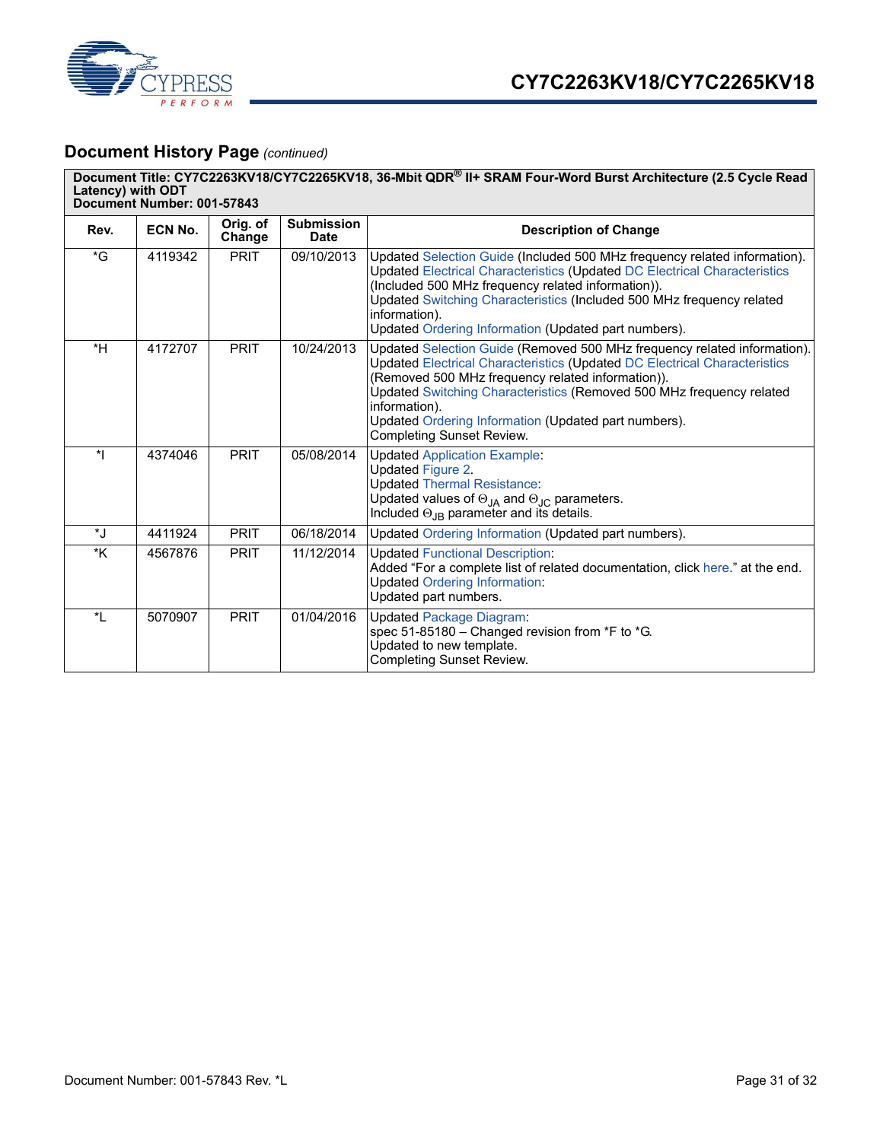

# **Document History Page** *(continued)*

|              | Document Title: CY7C2263KV18/CY7C2265KV18, 36-Mbit QDR® II+ SRAM Four-Word Burst Architecture (2.5 Cycle Read<br>Latency) with ODT<br>Document Number: 001-57843 |                    |                                  |                                                                                                                                                                                                                                                                                                                                                                                                 |  |  |
|--------------|------------------------------------------------------------------------------------------------------------------------------------------------------------------|--------------------|----------------------------------|-------------------------------------------------------------------------------------------------------------------------------------------------------------------------------------------------------------------------------------------------------------------------------------------------------------------------------------------------------------------------------------------------|--|--|
| Rev.         | ECN No.                                                                                                                                                          | Orig. of<br>Change | <b>Submission</b><br><b>Date</b> | <b>Description of Change</b>                                                                                                                                                                                                                                                                                                                                                                    |  |  |
| $\mathsf{G}$ | 4119342                                                                                                                                                          | <b>PRIT</b>        | 09/10/2013                       | Updated Selection Guide (Included 500 MHz frequency related information).<br>Updated Electrical Characteristics (Updated DC Electrical Characteristics<br>(Included 500 MHz frequency related information)).<br>Updated Switching Characteristics (Included 500 MHz frequency related<br>information).<br>Updated Ordering Information (Updated part numbers).                                  |  |  |
| $*H$         | 4172707                                                                                                                                                          | <b>PRIT</b>        | 10/24/2013                       | Updated Selection Guide (Removed 500 MHz frequency related information).<br>Updated Electrical Characteristics (Updated DC Electrical Characteristics<br>(Removed 500 MHz frequency related information)).<br>Updated Switching Characteristics (Removed 500 MHz frequency related<br>information).<br>Updated Ordering Information (Updated part numbers).<br><b>Completing Sunset Review.</b> |  |  |
| $\star$      | 4374046                                                                                                                                                          | <b>PRIT</b>        | 05/08/2014                       | <b>Updated Application Example:</b><br><b>Updated Figure 2.</b><br><b>Updated Thermal Resistance:</b><br>Updated values of $\Theta_{JA}$ and $\Theta_{JC}$ parameters.<br>Included $\Theta_{\text{JB}}$ parameter and its details.                                                                                                                                                              |  |  |
| *J           | 4411924                                                                                                                                                          | <b>PRIT</b>        | 06/18/2014                       | Updated Ordering Information (Updated part numbers).                                                                                                                                                                                                                                                                                                                                            |  |  |
| *K           | 4567876                                                                                                                                                          | <b>PRIT</b>        | 11/12/2014                       | <b>Updated Functional Description:</b><br>Added "For a complete list of related documentation, click here." at the end.<br><b>Updated Ordering Information:</b><br>Updated part numbers.                                                                                                                                                                                                        |  |  |
| $\star$      | 5070907                                                                                                                                                          | <b>PRIT</b>        | 01/04/2016                       | <b>Updated Package Diagram:</b><br>spec 51-85180 - Changed revision from *F to *G.<br>Updated to new template.<br><b>Completing Sunset Review.</b>                                                                                                                                                                                                                                              |  |  |